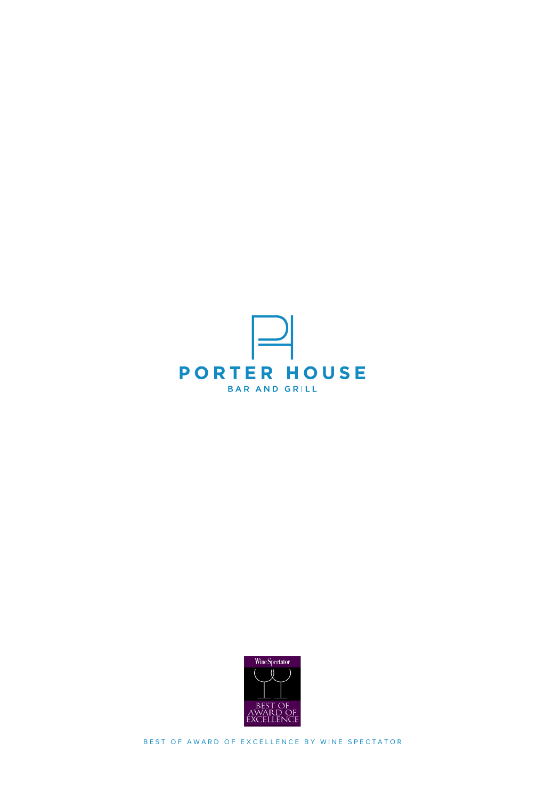



BEST OF AWARD OF EXCELLENCE BY WINE SPECTATOR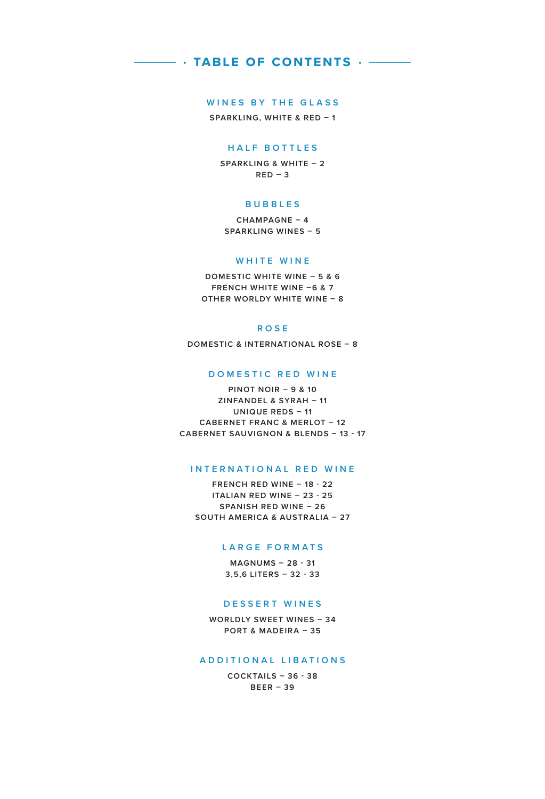### **• table of contents •**

### **WINES BY THE GLASS**

**SPARKLING, WHITE & RED – 1**

### **HALF BOTTLES**

**SPARKLING & WHITE – 2 RED – 3**

### **BUBBLES**

**CHAMPAGNE – 4 SPARKLING WINES – 5**

### **WHITE WINE**

**DOMESTIC WHITE WINE – 5 & 6 FRENCH WHITE WINE –6 & 7 OTHER WORLDY WHITE WINE – 8**

### **ROSE**

**DOMESTIC & INTERNATIONAL ROSE – 8**

### **DOMESTIC RED WINE**

**PINOT NOIR – 9 & 10 ZINFANDEL & SYRAH – 11 UNIQUE REDS – 11 CABERNET FRANC & MERLOT – 12 CABERNET SAUVIGNON & BLENDS – 13 - 17**

### **INTERNATIONAL RED WINE**

**FRENCH RED WINE – 18 - 22 ITALIAN RED WINE – 23 - 25 SPANISH RED WINE – 26 SOUTH AMERICA & AUSTRALIA – 27**

### **LARGE FORMATS**

**MAGNUMS – 28 - 31 3,5,6 LITERS – 32 - 33**

#### **DESSERT WINES**

**WORLDLY SWEET WINES – 34 PORT & MADEIRA – 35**

#### **ADDITIONAL LIBATIONS**

**COCKTAILS – 36 - 38 BEER – 39**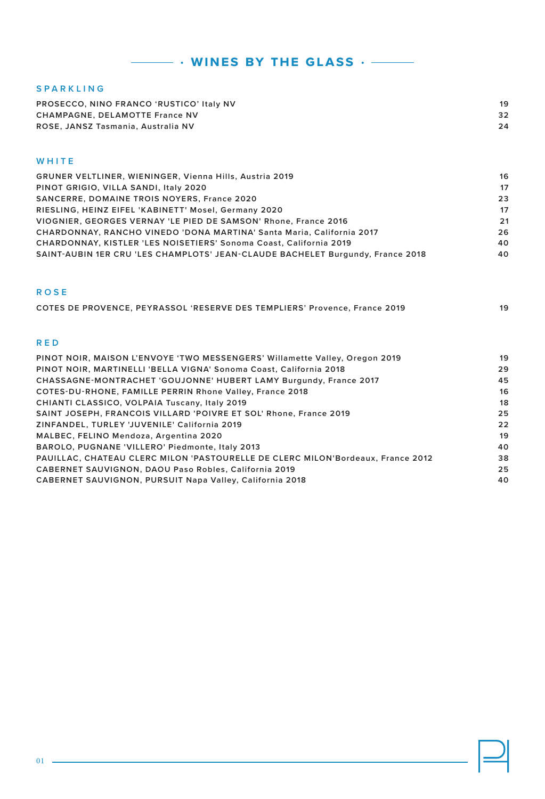| <b>SPARKLING</b>                                               |    |
|----------------------------------------------------------------|----|
| PROSECCO, NINO FRANCO 'RUSTICO' Italy NV                       | 19 |
| <b>CHAMPAGNE, DELAMOTTE France NV</b>                          | 32 |
| ROSE, JANSZ Tasmania, Australia NV                             | 24 |
|                                                                |    |
|                                                                |    |
| WHITE                                                          |    |
| <b>GRUNER VELTLINER, WIENINGER, Vienna Hills, Austria 2019</b> | 16 |

 **• wines by the glass •** 

| PINOT GRIGIO, VILLA SANDI, Italy 2020                                          | 17 |
|--------------------------------------------------------------------------------|----|
| <b>SANCERRE, DOMAINE TROIS NOYERS, France 2020</b>                             | 23 |
| RIESLING, HEINZ EIFEL 'KABINETT' Mosel, Germany 2020                           | 17 |
| VIOGNIER, GEORGES VERNAY 'LE PIED DE SAMSON' Rhone, France 2016                | 21 |
| CHARDONNAY, RANCHO VINEDO 'DONA MARTINA' Santa Maria, California 2017          | 26 |
| CHARDONNAY, KISTLER 'LES NOISETIERS' Sonoma Coast, California 2019             | 40 |
| SAINT-AUBIN 1ER CRU 'LES CHAMPLOTS' JEAN-CLAUDE BACHELET Burgundy, France 2018 | 40 |

### **ROSE**

| COTES DE PROVENCE, PEYRASSOL 'RESERVE DES TEMPLIERS' Provence, France 2019 | 19 |
|----------------------------------------------------------------------------|----|
|                                                                            |    |

### **RED**

| PINOT NOIR, MAISON L'ENVOYE 'TWO MESSENGERS' Willamette Valley, Oregon 2019     | 19 |
|---------------------------------------------------------------------------------|----|
| PINOT NOIR, MARTINELLI 'BELLA VIGNA' Sonoma Coast, California 2018              | 29 |
| CHASSAGNE-MONTRACHET 'GOUJONNE' HUBERT LAMY Burgundy, France 2017               | 45 |
| COTES-DU-RHONE, FAMILLE PERRIN Rhone Valley, France 2018                        | 16 |
| CHIANTI CLASSICO, VOLPAIA Tuscany, Italy 2019                                   | 18 |
| SAINT JOSEPH, FRANCOIS VILLARD 'POIVRE ET SOL' Rhone, France 2019               | 25 |
| ZINFANDEL, TURLEY 'JUVENILE' California 2019                                    | 22 |
| MALBEC, FELINO Mendoza, Argentina 2020                                          | 19 |
| BAROLO, PUGNANE 'VILLERO' Piedmonte, Italy 2013                                 | 40 |
| PAUILLAC, CHATEAU CLERC MILON 'PASTOURELLE DE CLERC MILON'Bordeaux, France 2012 | 38 |
| <b>CABERNET SAUVIGNON, DAOU Paso Robles, California 2019</b>                    | 25 |
| CABERNET SAUVIGNON, PURSUIT Napa Valley, California 2018                        | 40 |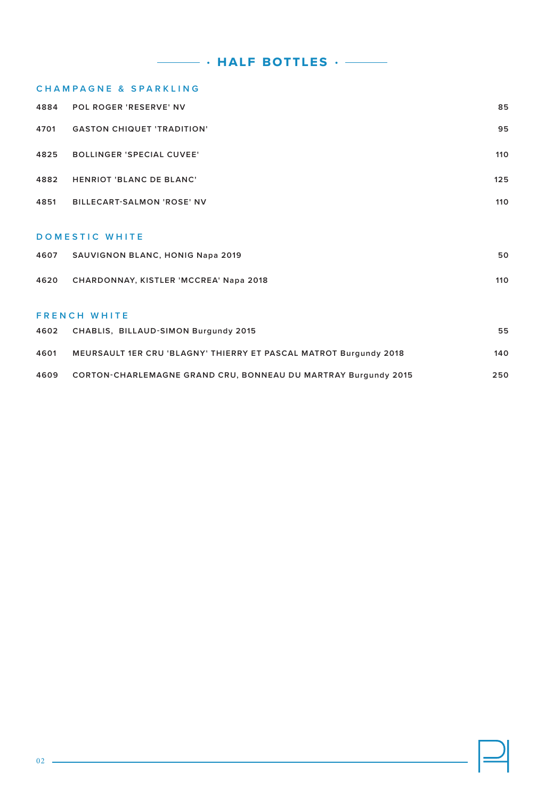**• half bottles •** 

### **C H A M P A G N E & S P A R K L I N G**

| 4884 | <b>POL ROGER 'RESERVE' NV</b>               | 85  |  |
|------|---------------------------------------------|-----|--|
| 4701 | <b>GASTON CHIQUET 'TRADITION'</b>           | 95  |  |
| 4825 | <b>BOLLINGER 'SPECIAL CUVEE'</b>            | 110 |  |
| 4882 | <b>HENRIOT 'BLANC DE BLANC'</b>             | 125 |  |
| 4851 | <b>BILLECART-SALMON 'ROSE' NV</b>           | 110 |  |
|      | <b>DOMESTIC WHITE</b>                       |     |  |
|      | 4607 SAUVIGNON BLANC, HONIG Napa 2019       | 50  |  |
|      | 4620 CHARDONNAY, KISTLER 'MCCREA' Napa 2018 | 110 |  |
|      | <b>FRENCH WHITE</b>                         |     |  |

| 4602 | CHABLIS, BILLAUD-SIMON Burgundy 2015                              | 55  |
|------|-------------------------------------------------------------------|-----|
| 4601 | MEURSAULT 1ER CRU 'BLAGNY' THIERRY ET PASCAL MATROT Burgundy 2018 | 140 |
| 4609 | CORTON-CHARLEMAGNE GRAND CRU, BONNEAU DU MARTRAY Burgundy 2015    | 250 |

| ٠<br>c |  |
|--------|--|
|        |  |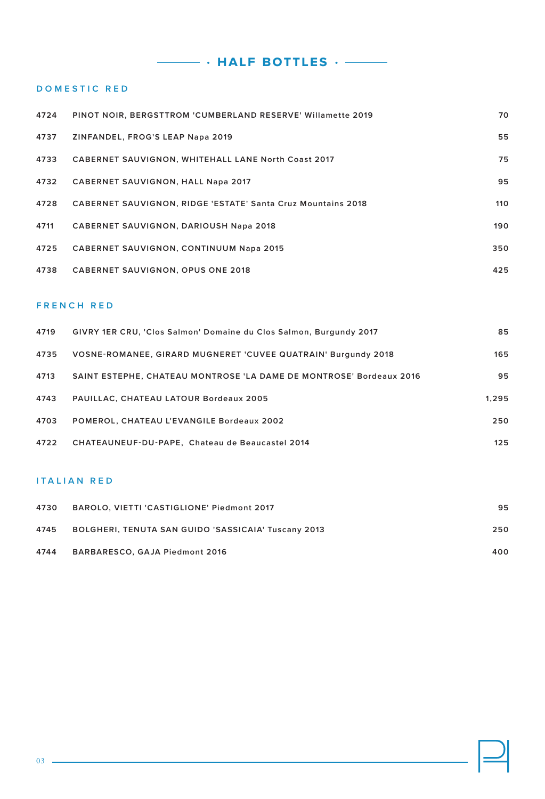**• half bottles •** 

### **DOMESTIC RED**

| 4724 | <b>PINOT NOIR. BERGSTTROM 'CUMBERLAND RESERVE' Willamette 2019</b>  | 70  |
|------|---------------------------------------------------------------------|-----|
| 4737 | ZINFANDEL, FROG'S LEAP Napa 2019                                    | 55  |
| 4733 | <b>CABERNET SAUVIGNON, WHITEHALL LANE North Coast 2017</b>          | 75  |
| 4732 | <b>CABERNET SAUVIGNON, HALL Napa 2017</b>                           | 95  |
| 4728 | <b>CABERNET SAUVIGNON, RIDGE 'ESTATE' Santa Cruz Mountains 2018</b> | 110 |
| 4711 | <b>CABERNET SAUVIGNON, DARIOUSH Napa 2018</b>                       | 190 |
| 4725 | <b>CABERNET SAUVIGNON, CONTINUUM Napa 2015</b>                      | 350 |
| 4738 | <b>CABERNET SAUVIGNON, OPUS ONE 2018</b>                            | 425 |

### **FRENCH RED**

| 4719 | GIVRY 1ER CRU, 'Clos Salmon' Domaine du Clos Salmon, Burgundy 2017  | 85    |
|------|---------------------------------------------------------------------|-------|
| 4735 | VOSNE-ROMANEE, GIRARD MUGNERET 'CUVEE QUATRAIN' Burgundy 2018       | 165   |
| 4713 | SAINT ESTEPHE. CHATEAU MONTROSE 'LA DAME DE MONTROSE' Bordeaux 2016 | 95    |
| 4743 | <b>PAUILLAC, CHATEAU LATOUR Bordeaux 2005</b>                       | 1.295 |
| 4703 | POMEROL, CHATEAU L'EVANGILE Bordeaux 2002                           | 250   |
| 4722 | CHATEAUNEUF-DU-PAPE. Chateau de Beaucastel 2014                     | 125   |

### **ITALIAN RED**

| 4730 | BAROLO, VIETTI 'CASTIGLIONE' Piedmont 2017                 | 95  |
|------|------------------------------------------------------------|-----|
| 4745 | <b>BOLGHERI, TENUTA SAN GUIDO 'SASSICAIA' Tuscany 2013</b> | 250 |
| 4744 | BARBARESCO, GAJA Piedmont 2016                             | 400 |

<u> 1980 - Johann Barbara, martx</u>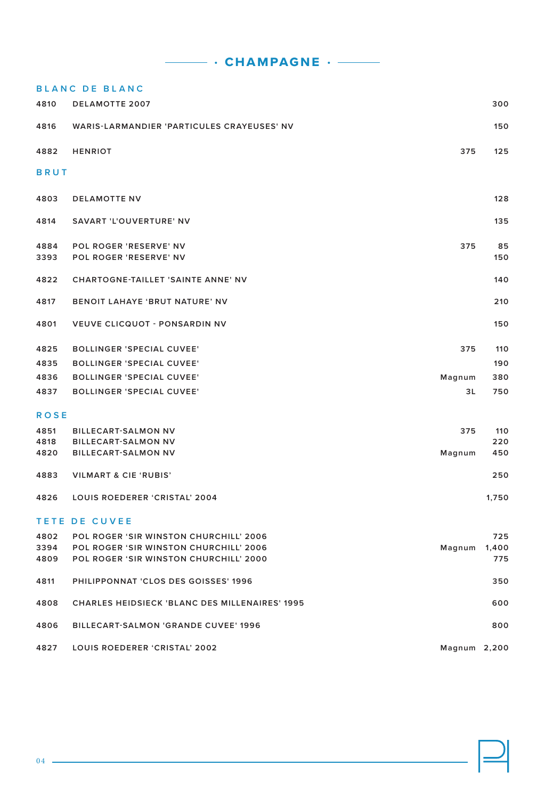**• champagne •** 

### **BLANC DE BLANC**

| 4810                 | <b>DELAMOTTE 2007</b>                                                                                                             |              | 300        |
|----------------------|-----------------------------------------------------------------------------------------------------------------------------------|--------------|------------|
| 4816                 | WARIS-LARMANDIER 'PARTICULES CRAYEUSES' NV                                                                                        |              | 150        |
| 4882                 | <b>HENRIOT</b>                                                                                                                    | 375          | 125        |
| <b>BRUT</b>          |                                                                                                                                   |              |            |
| 4803                 | <b>DELAMOTTE NV</b>                                                                                                               |              | 128        |
| 4814                 | SAVART 'L'OUVERTURE' NV                                                                                                           |              | 135        |
| 4884<br>3393         | POL ROGER 'RESERVE' NV<br><b>POL ROGER 'RESERVE' NV</b>                                                                           | 375          | 85<br>150  |
| 4822                 | <b>CHARTOGNE-TAILLET 'SAINTE ANNE' NV</b>                                                                                         |              | 140        |
| 4817                 | <b>BENOIT LAHAYE 'BRUT NATURE' NV</b>                                                                                             |              | 210        |
| 4801                 | <b>VEUVE CLICQUOT - PONSARDIN NV</b>                                                                                              |              | 150        |
| 4825                 | <b>BOLLINGER 'SPECIAL CUVEE'</b>                                                                                                  | 375          | 110        |
| 4835                 | <b>BOLLINGER 'SPECIAL CUVEE'</b>                                                                                                  |              | 190        |
| 4836                 | <b>BOLLINGER 'SPECIAL CUVEE'</b>                                                                                                  | Magnum       | 380        |
| 4837                 | <b>BOLLINGER 'SPECIAL CUVEE'</b>                                                                                                  | 3L           | 750        |
| <b>ROSE</b>          |                                                                                                                                   |              |            |
| 4851                 | <b>BILLECART-SALMON NV</b>                                                                                                        | 375          | 110        |
| 4818                 | <b>BILLECART-SALMON NV</b>                                                                                                        |              | 220        |
| 4820                 | <b>BILLECART-SALMON NV</b>                                                                                                        | Magnum       | 450        |
| 4883                 | <b>VILMART &amp; CIE 'RUBIS'</b>                                                                                                  |              | 250        |
| 4826                 | LOUIS ROEDERER 'CRISTAL' 2004                                                                                                     |              | 1,750      |
|                      | <b>TETE DE CUVEE</b>                                                                                                              |              |            |
| 4802<br>3394<br>4809 | <b>POL ROGER 'SIR WINSTON CHURCHILL' 2006</b><br>POL ROGER 'SIR WINSTON CHURCHILL' 2006<br>POL ROGER 'SIR WINSTON CHURCHILL' 2000 | Magnum 1,400 | 725<br>775 |
| 4811                 | PHILIPPONNAT 'CLOS DES GOISSES' 1996                                                                                              |              | 350        |
| 4808                 | <b>CHARLES HEIDSIECK 'BLANC DES MILLENAIRES' 1995</b>                                                                             |              | 600        |
| 4806                 | <b>BILLECART-SALMON 'GRANDE CUVEE' 1996</b>                                                                                       |              | 800        |
| 4827                 | LOUIS ROEDERER 'CRISTAL' 2002                                                                                                     | Magnum 2,200 |            |

<u> 1989 - Johann Stoff, deutscher Stoffen und der Stoffen und der Stoffen und der Stoffen und der Stoffen und der</u>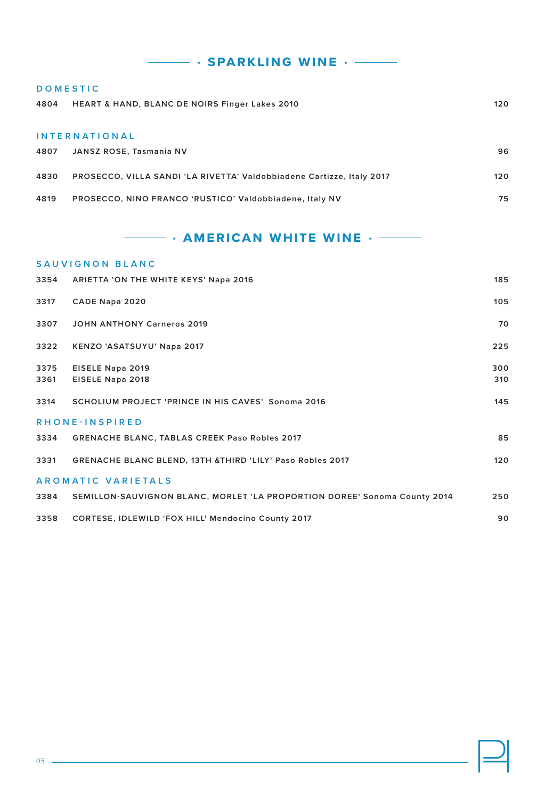# **• sparkling wine •**

| <b>DOMESTIC</b> |                                                                       |     |
|-----------------|-----------------------------------------------------------------------|-----|
| 4804            | <b>HEART &amp; HAND, BLANC DE NOIRS Finger Lakes 2010</b>             | 120 |
|                 |                                                                       |     |
|                 | <b>INTERNATIONAL</b>                                                  |     |
| 4807            | JANSZ ROSE, Tasmania NV                                               | 96  |
|                 |                                                                       |     |
| 4830            | PROSECCO, VILLA SANDI 'LA RIVETTA' Valdobbiadene Cartizze, Italy 2017 | 120 |
| 4819            | PROSECCO, NINO FRANCO 'RUSTICO' Valdobbiadene, Italy NV               | 75  |
|                 |                                                                       |     |

### **• american white wine •**

|      | SAUVIGNON BLANC                                                           |     |  |  |  |
|------|---------------------------------------------------------------------------|-----|--|--|--|
| 3354 | <b>ARIETTA 'ON THE WHITE KEYS' Napa 2016</b>                              | 185 |  |  |  |
| 3317 | CADE Napa 2020                                                            | 105 |  |  |  |
| 3307 | <b>JOHN ANTHONY Carneros 2019</b>                                         | 70  |  |  |  |
| 3322 | KENZO 'ASATSUYU' Napa 2017                                                | 225 |  |  |  |
| 3375 | EISELE Napa 2019                                                          | 300 |  |  |  |
| 3361 | EISELE Napa 2018                                                          | 310 |  |  |  |
| 3314 | <b>SCHOLIUM PROJECT 'PRINCE IN HIS CAVES' Sonoma 2016</b>                 | 145 |  |  |  |
|      | RHONE-INSPIRED                                                            |     |  |  |  |
| 3334 | <b>GRENACHE BLANC, TABLAS CREEK Paso Robles 2017</b>                      | 85  |  |  |  |
| 3331 | GRENACHE BLANC BLEND, 13TH &THIRD 'LILY' Paso Robles 2017                 | 120 |  |  |  |
|      | AROMATIC VARIETALS                                                        |     |  |  |  |
| 3384 | SEMILLON-SAUVIGNON BLANC, MORLET 'LA PROPORTION DOREE' Sonoma County 2014 | 250 |  |  |  |
| 3358 | CORTESE, IDLEWILD 'FOX HILL' Mendocino County 2017                        | 90  |  |  |  |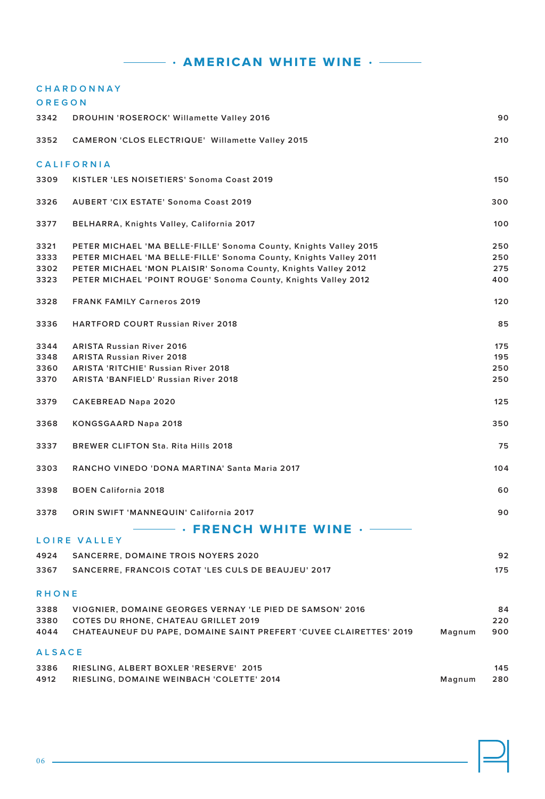### **• american white wine •**

|               | <b>CHARDONNAY</b>                                                  |        |     |
|---------------|--------------------------------------------------------------------|--------|-----|
| OREGON        |                                                                    |        |     |
| 3342          | <b>DROUHIN 'ROSEROCK' Willamette Valley 2016</b>                   |        | 90  |
| 3352          | <b>CAMERON 'CLOS ELECTRIQUE' Willamette Valley 2015</b>            |        | 210 |
|               | <b>CALIFORNIA</b>                                                  |        |     |
| 3309          | KISTLER 'LES NOISETIERS' Sonoma Coast 2019                         |        | 150 |
| 3326          | <b>AUBERT 'CIX ESTATE' Sonoma Coast 2019</b>                       |        | 300 |
| 3377          | BELHARRA, Knights Valley, California 2017                          |        | 100 |
| 3321          | PETER MICHAEL 'MA BELLE-FILLE' Sonoma County, Knights Valley 2015  |        | 250 |
| 3333          | PETER MICHAEL 'MA BELLE-FILLE' Sonoma County, Knights Valley 2011  |        | 250 |
| 3302          | PETER MICHAEL 'MON PLAISIR' Sonoma County, Knights Valley 2012     |        | 275 |
| 3323          | PETER MICHAEL 'POINT ROUGE' Sonoma County, Knights Valley 2012     |        | 400 |
| 3328          | <b>FRANK FAMILY Carneros 2019</b>                                  |        | 120 |
| 3336          | <b>HARTFORD COURT Russian River 2018</b>                           |        | 85  |
| 3344          | <b>ARISTA Russian River 2016</b>                                   |        | 175 |
| 3348          | <b>ARISTA Russian River 2018</b>                                   |        | 195 |
| 3360          | <b>ARISTA 'RITCHIE' Russian River 2018</b>                         |        | 250 |
| 3370          | <b>ARISTA 'BANFIELD' Russian River 2018</b>                        |        | 250 |
| 3379          | <b>CAKEBREAD Napa 2020</b>                                         |        | 125 |
| 3368          | KONGSGAARD Napa 2018                                               |        | 350 |
| 3337          | <b>BREWER CLIFTON Sta. Rita Hills 2018</b>                         |        | 75  |
| 3303          | RANCHO VINEDO 'DONA MARTINA' Santa Maria 2017                      |        | 104 |
| 3398          | <b>BOEN California 2018</b>                                        |        | 60  |
| 3378          | ORIN SWIFT 'MANNEQUIN' California 2017                             |        | 90  |
|               | $\cdot$ FRENCH WHITE WINE $\cdot$ -<br>LOIRE VALLEY                |        |     |
| 4924          | <b>SANCERRE, DOMAINE TROIS NOYERS 2020</b>                         |        | 92  |
|               |                                                                    |        |     |
| 3367          | SANCERRE, FRANCOIS COTAT 'LES CULS DE BEAUJEU' 2017                |        | 175 |
| RHONE         |                                                                    |        |     |
| 3388          | VIOGNIER, DOMAINE GEORGES VERNAY 'LE PIED DE SAMSON' 2016          |        | 84  |
| 3380          | <b>COTES DU RHONE, CHATEAU GRILLET 2019</b>                        |        | 220 |
| 4044          | CHATEAUNEUF DU PAPE, DOMAINE SAINT PREFERT 'CUVEE CLAIRETTES' 2019 | Magnum | 900 |
| <b>ALSACE</b> |                                                                    |        |     |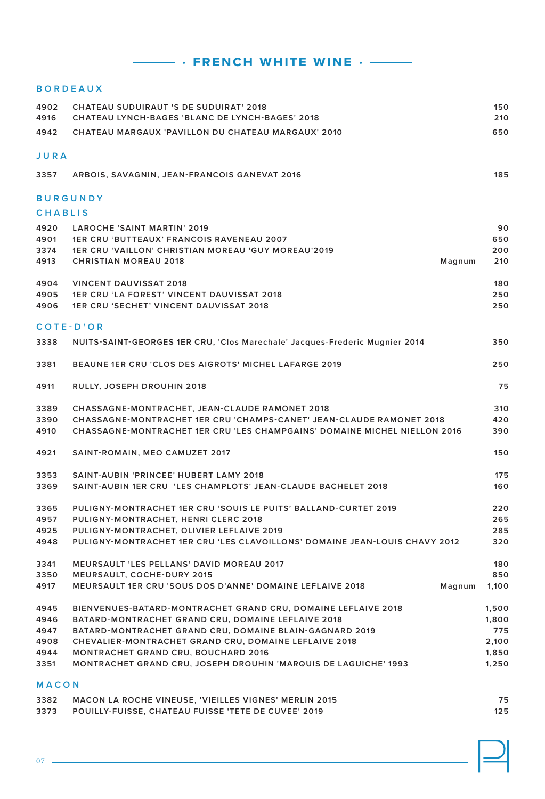### $\cdot$  **FRENCH WHITE WINE**  $\cdot$   $-$

### **BORDEAUX**

| 4902<br>4916   | CHATEAU SUDUIRAUT 'S DE SUDUIRAT' 2018<br>CHATEAU LYNCH-BAGES 'BLANC DE LYNCH-BAGES' 2018 | 150<br>210 |
|----------------|-------------------------------------------------------------------------------------------|------------|
| 4942           | CHATEAU MARGAUX 'PAVILLON DU CHATEAU MARGAUX' 2010                                        | 650        |
|                |                                                                                           |            |
| JURA           |                                                                                           |            |
| 3357           | ARBOIS, SAVAGNIN, JEAN-FRANCOIS GANEVAT 2016                                              | 185        |
|                | <b>BURGUNDY</b>                                                                           |            |
| <b>CHABLIS</b> |                                                                                           |            |
| 4920           | <b>LAROCHE 'SAINT MARTIN' 2019</b>                                                        | 90         |
| 4901           | <b>1ER CRU 'BUTTEAUX' FRANCOIS RAVENEAU 2007</b>                                          | 650        |
| 3374           | 1ER CRU 'VAILLON' CHRISTIAN MOREAU 'GUY MOREAU'2019                                       | 200        |
| 4913           | <b>CHRISTIAN MOREAU 2018</b><br>Magnum                                                    | 210        |
| 4904           | <b>VINCENT DAUVISSAT 2018</b>                                                             | 180        |
| 4905           | <b>1ER CRU 'LA FOREST' VINCENT DAUVISSAT 2018</b>                                         | 250        |
| 4906           | <b>1ER CRU 'SECHET' VINCENT DAUVISSAT 2018</b>                                            | 250        |
| COTE-D'OR      |                                                                                           |            |
| 3338           | NUITS-SAINT-GEORGES 1ER CRU, 'Clos Marechale' Jacques-Frederic Mugnier 2014               | 350        |
| 3381           | <b>BEAUNE 1ER CRU 'CLOS DES AIGROTS' MICHEL LAFARGE 2019</b>                              | 250        |
| 4911           | RULLY, JOSEPH DROUHIN 2018                                                                | 75         |
| 3389           | CHASSAGNE-MONTRACHET, JEAN-CLAUDE RAMONET 2018                                            | 310        |
| 3390           | CHASSAGNE-MONTRACHET 1ER CRU 'CHAMPS-CANET' JEAN-CLAUDE RAMONET 2018                      | 420        |
| 4910           | CHASSAGNE-MONTRACHET 1ER CRU 'LES CHAMPGAINS' DOMAINE MICHEL NIELLON 2016                 | 390        |
| 4921           | SAINT-ROMAIN, MEO CAMUZET 2017                                                            | 150        |
| 3353           | SAINT-AUBIN 'PRINCEE' HUBERT LAMY 2018                                                    | 175        |
| 3369           | SAINT-AUBIN 1ER CRU 'LES CHAMPLOTS' JEAN-CLAUDE BACHELET 2018                             | 160        |
| 3365           | PULIGNY-MONTRACHET 1ER CRU 'SOUIS LE PUITS' BALLAND-CURTET 2019                           | 220        |
| 4957           | PULIGNY-MONTRACHET, HENRI CLERC 2018                                                      | 265        |
| 4925           | PULIGNY-MONTRACHET, OLIVIER LEFLAIVE 2019                                                 | 285        |
| 4948           | PULIGNY-MONTRACHET 1ER CRU 'LES CLAVOILLONS' DOMAINE JEAN-LOUIS CHAVY 2012                | 320        |
| 3341           | <b>MEURSAULT 'LES PELLANS' DAVID MOREAU 2017</b>                                          | 180        |
| 3350           | <b>MEURSAULT, COCHE-DURY 2015</b>                                                         | 850        |
| 4917           | MEURSAULT 1ER CRU 'SOUS DOS D'ANNE' DOMAINE LEFLAIVE 2018<br>Magnum                       | 1,100      |
| 4945           | BIENVENUES-BATARD-MONTRACHET GRAND CRU, DOMAINE LEFLAIVE 2018                             | 1,500      |
| 4946           | BATARD-MONTRACHET GRAND CRU, DOMAINE LEFLAIVE 2018                                        | 1,800      |
| 4947           | BATARD-MONTRACHET GRAND CRU, DOMAINE BLAIN-GAGNARD 2019                                   | 775        |
| 4908           | CHEVALIER-MONTRACHET GRAND CRU, DOMAINE LEFLAIVE 2018                                     | 2,100      |
| 4944           | <b>MONTRACHET GRAND CRU, BOUCHARD 2016</b>                                                | 1,850      |
| 3351           | <b>MONTRACHET GRAND CRU, JOSEPH DROUHIN 'MARQUIS DE LAGUICHE' 1993</b>                    | 1,250      |
| MACON          |                                                                                           |            |

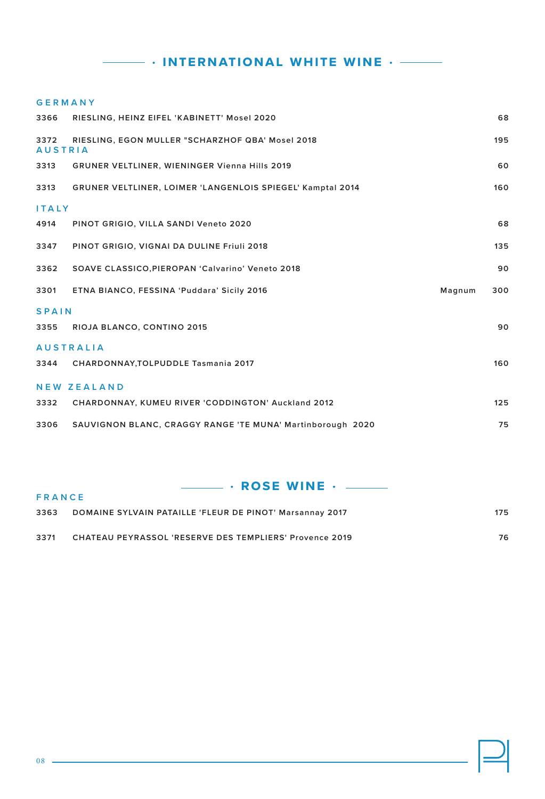# **• international white wine •**

### **GERMANY**

| 3366                   | RIESLING, HEINZ EIFEL 'KABINETT' Mosel 2020                       |        | 68  |
|------------------------|-------------------------------------------------------------------|--------|-----|
| 3372<br><b>AUSTRIA</b> | RIESLING, EGON MULLER "SCHARZHOF QBA' Mosel 2018                  |        | 195 |
| 3313                   | <b>GRUNER VELTLINER, WIENINGER Vienna Hills 2019</b>              |        | 60  |
| 3313                   | <b>GRUNER VELTLINER, LOIMER 'LANGENLOIS SPIEGEL' Kamptal 2014</b> |        | 160 |
| <b>ITALY</b>           |                                                                   |        |     |
| 4914                   | PINOT GRIGIO, VILLA SANDI Veneto 2020                             |        | 68  |
| 3347                   | PINOT GRIGIO, VIGNAI DA DULINE Friuli 2018                        |        | 135 |
| 3362                   | SOAVE CLASSICO, PIEROPAN 'Calvarino' Veneto 2018                  |        | 90  |
| 3301                   | ETNA BIANCO, FESSINA 'Puddara' Sicily 2016                        | Magnum | 300 |
| <b>SPAIN</b>           |                                                                   |        |     |
| 3355                   | RIOJA BLANCO, CONTINO 2015                                        |        | 90  |
|                        | <b>AUSTRALIA</b>                                                  |        |     |
| 3344                   | CHARDONNAY, TOLPUDDLE Tasmania 2017                               |        | 160 |
|                        | <b>NEW ZEALAND</b>                                                |        |     |
| 3332                   | CHARDONNAY, KUMEU RIVER 'CODDINGTON' Auckland 2012                |        | 125 |
| 3306                   | SAUVIGNON BLANC, CRAGGY RANGE 'TE MUNA' Martinborough 2020        |        | 75  |

### **• ROSE WINE • ـــــ FRANCE**

| 3363 | DOMAINE SYLVAIN PATAILLE 'FLEUR DE PINOT' Marsannay 2017 | 175 |
|------|----------------------------------------------------------|-----|
| 3371 | CHATEAU PEYRASSOL 'RESERVE DES TEMPLIERS' Provence 2019  | 76  |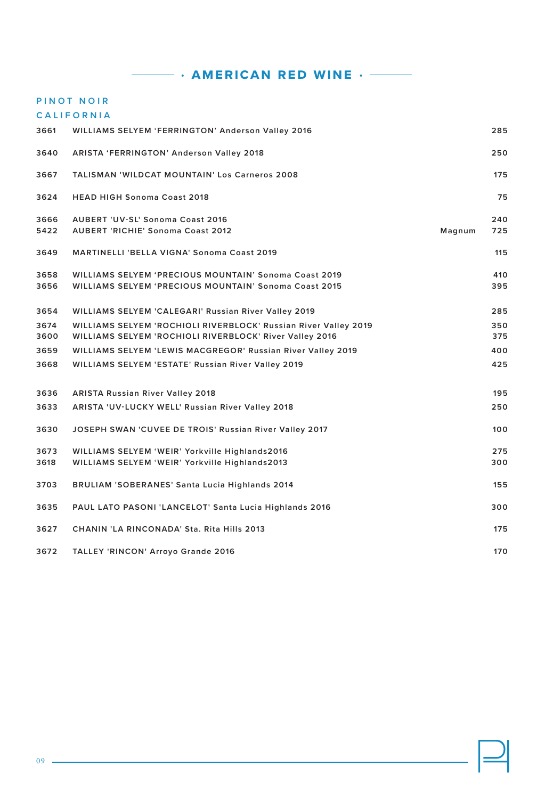**EXECUTE:** AMERICAN RED WINE  $\cdot$  ——

### **PINOT NOIR C A L I F O R N I A**

| 3661 | <b>WILLIAMS SELYEM 'FERRINGTON' Anderson Valley 2016</b>        |        | 285 |
|------|-----------------------------------------------------------------|--------|-----|
| 3640 | <b>ARISTA 'FERRINGTON' Anderson Valley 2018</b>                 |        | 250 |
| 3667 | <b>TALISMAN 'WILDCAT MOUNTAIN' Los Carneros 2008</b>            |        | 175 |
| 3624 | <b>HEAD HIGH Sonoma Coast 2018</b>                              |        | 75  |
| 3666 | <b>AUBERT 'UV-SL' Sonoma Coast 2016</b>                         |        | 240 |
| 5422 | <b>AUBERT 'RICHIE' Sonoma Coast 2012</b>                        | Magnum | 725 |
| 3649 | <b>MARTINELLI 'BELLA VIGNA' Sonoma Coast 2019</b>               |        | 115 |
| 3658 | <b>WILLIAMS SELYEM 'PRECIOUS MOUNTAIN' Sonoma Coast 2019</b>    |        | 410 |
| 3656 | <b>WILLIAMS SELYEM 'PRECIOUS MOUNTAIN' Sonoma Coast 2015</b>    |        | 395 |
| 3654 | WILLIAMS SELYEM 'CALEGARI' Russian River Valley 2019            |        | 285 |
| 3674 | WILLIAMS SELYEM 'ROCHIOLI RIVERBLOCK' Russian River Valley 2019 |        | 350 |
| 3600 | WILLIAMS SELYEM 'ROCHIOLI RIVERBLOCK' River Valley 2016         |        | 375 |
| 3659 | WILLIAMS SELYEM 'LEWIS MACGREGOR' Russian River Valley 2019     |        | 400 |
| 3668 | WILLIAMS SELYEM 'ESTATE' Russian River Valley 2019              |        | 425 |
| 3636 | <b>ARISTA Russian River Valley 2018</b>                         |        | 195 |
| 3633 | ARISTA 'UV-LUCKY WELL' Russian River Valley 2018                |        | 250 |
| 3630 | JOSEPH SWAN 'CUVEE DE TROIS' Russian River Valley 2017          |        | 100 |
| 3673 | WILLIAMS SELYEM 'WEIR' Yorkville Highlands2016                  |        | 275 |
| 3618 | WILLIAMS SELYEM 'WEIR' Yorkville Highlands2013                  |        | 300 |
| 3703 | <b>BRULIAM 'SOBERANES' Santa Lucia Highlands 2014</b>           |        | 155 |
| 3635 | PAUL LATO PASONI 'LANCELOT' Santa Lucia Highlands 2016          |        | 300 |
| 3627 | CHANIN 'LA RINCONADA' Sta. Rita Hills 2013                      |        | 175 |
| 3672 | <b>TALLEY 'RINCON' Arroyo Grande 2016</b>                       |        | 170 |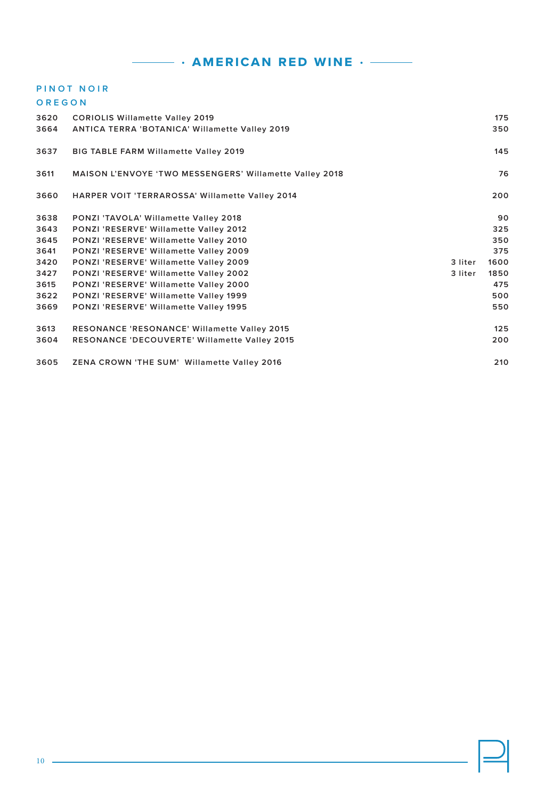### **PINOT NOIR**

| OREGON |  |  |  |
|--------|--|--|--|
|        |  |  |  |

| 3620 | <b>CORIOLIS Willamette Valley 2019</b>                         |         | 175  |
|------|----------------------------------------------------------------|---------|------|
| 3664 | <b>ANTICA TERRA 'BOTANICA' Willamette Valley 2019</b>          |         | 350  |
| 3637 | <b>BIG TABLE FARM Willamette Valley 2019</b>                   |         | 145  |
| 3611 | <b>MAISON L'ENVOYE 'TWO MESSENGERS' Willamette Valley 2018</b> |         | 76   |
| 3660 | <b>HARPER VOIT 'TERRAROSSA' Willamette Valley 2014</b>         |         | 200  |
| 3638 | PONZI 'TAVOLA' Willamette Valley 2018                          |         | 90   |
| 3643 | PONZI 'RESERVE' Willamette Valley 2012                         |         | 325  |
| 3645 | PONZI 'RESERVE' Willamette Valley 2010                         |         | 350  |
| 3641 | PONZI 'RESERVE' Willamette Valley 2009                         |         | 375  |
| 3420 | PONZI 'RESERVE' Willamette Valley 2009                         | 3 liter | 1600 |
| 3427 | PONZI 'RESERVE' Willamette Valley 2002                         | 3 liter | 1850 |
| 3615 | PONZI 'RESERVE' Willamette Valley 2000                         |         | 475  |
| 3622 | <b>PONZI 'RESERVE' Willamette Valley 1999</b>                  |         | 500  |
| 3669 | PONZI 'RESERVE' Willamette Valley 1995                         |         | 550  |
| 3613 | <b>RESONANCE 'RESONANCE' Willamette Valley 2015</b>            |         | 125  |
| 3604 | RESONANCE 'DECOUVERTE' Willamette Valley 2015                  |         | 200  |
| 3605 | <b>ZENA CROWN 'THE SUM' Willamette Valley 2016</b>             |         | 210  |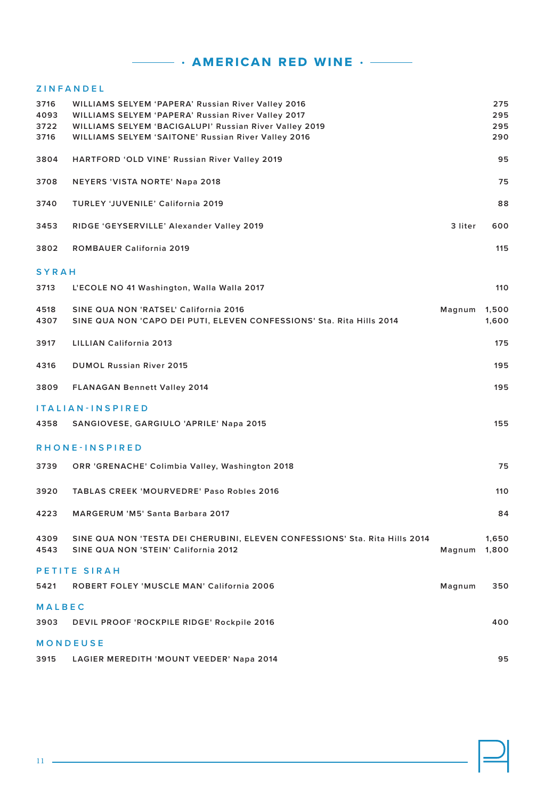### **Z I N F A N D E L**

| 3716<br>4093<br>3722<br>3716 | WILLIAMS SELYEM 'PAPERA' Russian River Valley 2016<br><b>WILLIAMS SELYEM 'PAPERA' Russian River Valley 2017</b><br>WILLIAMS SELYEM 'BACIGALUPI' Russian River Valley 2019<br>WILLIAMS SELYEM 'SAITONE' Russian River Valley 2016 |              | 275<br>295<br>295<br>290 |
|------------------------------|----------------------------------------------------------------------------------------------------------------------------------------------------------------------------------------------------------------------------------|--------------|--------------------------|
| 3804                         | HARTFORD 'OLD VINE' Russian River Valley 2019                                                                                                                                                                                    |              | 95                       |
| 3708                         | NEYERS 'VISTA NORTE' Napa 2018                                                                                                                                                                                                   |              | 75                       |
| 3740                         | <b>TURLEY 'JUVENILE' California 2019</b>                                                                                                                                                                                         |              | 88                       |
| 3453                         | RIDGE 'GEYSERVILLE' Alexander Valley 2019                                                                                                                                                                                        | 3 liter      | 600                      |
| 3802                         | ROMBAUER California 2019                                                                                                                                                                                                         |              | 115                      |
| <b>SYRAH</b>                 |                                                                                                                                                                                                                                  |              |                          |
| 3713                         | L'ECOLE NO 41 Washington, Walla Walla 2017                                                                                                                                                                                       |              | 110                      |
| 4518<br>4307                 | SINE QUA NON 'RATSEL' California 2016<br>SINE QUA NON 'CAPO DEI PUTI, ELEVEN CONFESSIONS' Sta. Rita Hills 2014                                                                                                                   | Magnum       | 1,500<br>1,600           |
| 3917                         | LILLIAN California 2013                                                                                                                                                                                                          |              | 175                      |
| 4316                         | <b>DUMOL Russian River 2015</b>                                                                                                                                                                                                  |              | 195                      |
| 3809                         | <b>FLANAGAN Bennett Valley 2014</b>                                                                                                                                                                                              |              | 195                      |
|                              | <b>ITALIAN-INSPIRED</b>                                                                                                                                                                                                          |              |                          |
| 4358                         | SANGIOVESE, GARGIULO 'APRILE' Napa 2015                                                                                                                                                                                          |              | 155                      |
|                              | RHONE-INSPIRED                                                                                                                                                                                                                   |              |                          |
| 3739                         | ORR 'GRENACHE' Colimbia Valley, Washington 2018                                                                                                                                                                                  |              | 75                       |
| 3920                         | <b>TABLAS CREEK 'MOURVEDRE' Paso Robles 2016</b>                                                                                                                                                                                 |              | 110                      |
| 4223                         | <b>MARGERUM 'M5' Santa Barbara 2017</b>                                                                                                                                                                                          |              | 84                       |
| 4309<br>4543                 | SINE QUA NON 'TESTA DEI CHERUBINI, ELEVEN CONFESSIONS' Sta. Rita Hills 2014<br>SINE QUA NON 'STEIN' California 2012                                                                                                              | Magnum 1,800 | 1,650                    |
|                              | PETITE SIRAH                                                                                                                                                                                                                     |              |                          |
| 5421                         | ROBERT FOLEY 'MUSCLE MAN' California 2006                                                                                                                                                                                        | Magnum       | 350                      |
| <b>MALBEC</b>                |                                                                                                                                                                                                                                  |              |                          |
| 3903                         | DEVIL PROOF 'ROCKPILE RIDGE' Rockpile 2016                                                                                                                                                                                       |              | 400                      |
|                              | <b>MONDEUSE</b>                                                                                                                                                                                                                  |              |                          |
| 3915                         | LAGIER MEREDITH 'MOUNT VEEDER' Napa 2014                                                                                                                                                                                         |              | 95                       |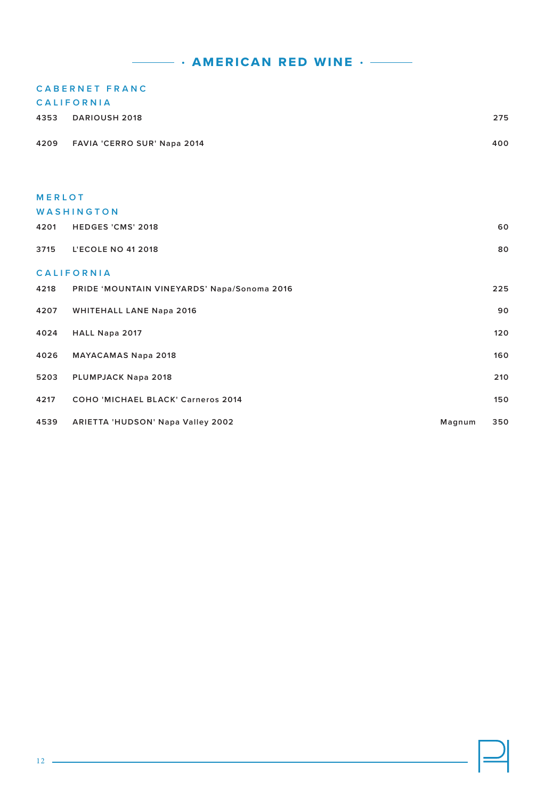## **CABERNET FRANC**

| <b>CALIFORNIA</b> |  |  |
|-------------------|--|--|
|                   |  |  |

| 4353              | <b>DARIOUSH 2018</b>                        |        | 275 |  |
|-------------------|---------------------------------------------|--------|-----|--|
| 4209              | FAVIA 'CERRO SUR' Napa 2014                 |        | 400 |  |
|                   |                                             |        |     |  |
|                   |                                             |        |     |  |
| <b>MERLOT</b>     |                                             |        |     |  |
|                   | WASHINGTON                                  |        |     |  |
| 4201              | <b>HEDGES 'CMS' 2018</b>                    |        | 60  |  |
| 3715              | <b>L'ECOLE NO 41 2018</b>                   |        | 80  |  |
| <b>CALIFORNIA</b> |                                             |        |     |  |
| 4218              | PRIDE 'MOUNTAIN VINEYARDS' Napa/Sonoma 2016 |        | 225 |  |
| 4207              | <b>WHITEHALL LANE Napa 2016</b>             |        | 90  |  |
| 4024              | HALL Napa 2017                              |        | 120 |  |
| 4026              | <b>MAYACAMAS Napa 2018</b>                  |        | 160 |  |
| 5203              | PLUMPJACK Napa 2018                         |        | 210 |  |
| 4217              | COHO 'MICHAEL BLACK' Carneros 2014          |        | 150 |  |
| 4539              | ARIETTA 'HUDSON' Napa Valley 2002           | Magnum | 350 |  |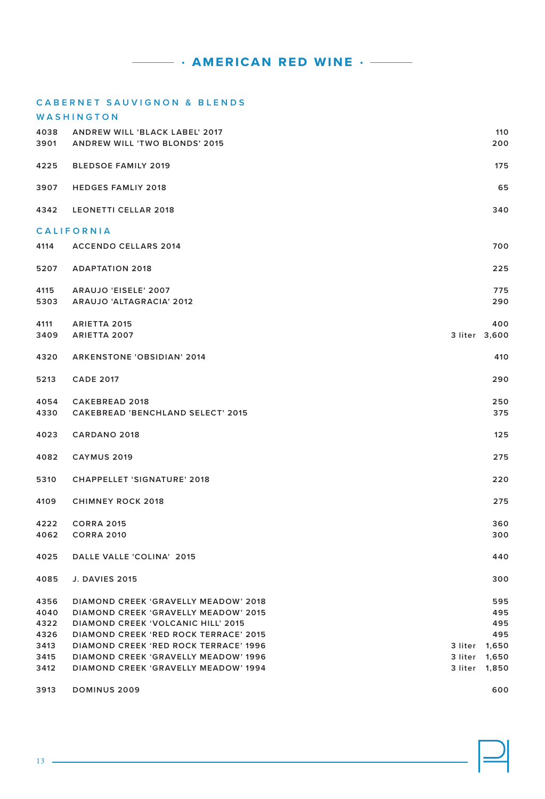13 —

| 3907 | <b>HEDGES FAMLIY 2018</b>                    |         | 65            |
|------|----------------------------------------------|---------|---------------|
| 4342 | <b>LEONETTI CELLAR 2018</b>                  |         | 340           |
|      | <b>CALIFORNIA</b>                            |         |               |
| 4114 | <b>ACCENDO CELLARS 2014</b>                  |         | 700           |
|      |                                              |         |               |
| 5207 | <b>ADAPTATION 2018</b>                       |         | 225           |
| 4115 | ARAUJO 'EISELE' 2007                         |         | 775           |
| 5303 | ARAUJO 'ALTAGRACIA' 2012                     |         | 290           |
| 4111 | <b>ARIETTA 2015</b>                          |         | 400           |
| 3409 | <b>ARIETTA 2007</b>                          |         | 3 liter 3,600 |
|      |                                              |         |               |
| 4320 | <b>ARKENSTONE 'OBSIDIAN' 2014</b>            |         | 410           |
| 5213 | <b>CADE 2017</b>                             |         | 290           |
| 4054 | <b>CAKEBREAD 2018</b>                        |         | 250           |
| 4330 | <b>CAKEBREAD 'BENCHLAND SELECT' 2015</b>     |         | 375           |
|      |                                              |         |               |
| 4023 | <b>CARDANO 2018</b>                          |         | 125           |
| 4082 | <b>CAYMUS 2019</b>                           |         | 275           |
|      |                                              |         |               |
| 5310 | <b>CHAPPELLET 'SIGNATURE' 2018</b>           |         | 220           |
| 4109 | <b>CHIMNEY ROCK 2018</b>                     |         | 275           |
| 4222 | <b>CORRA 2015</b>                            |         | 360           |
| 4062 | <b>CORRA 2010</b>                            |         | 300           |
|      |                                              |         |               |
| 4025 | DALLE VALLE 'COLINA' 2015                    |         | 440           |
| 4085 | <b>J. DAVIES 2015</b>                        |         | 300           |
|      |                                              |         |               |
| 4356 | <b>DIAMOND CREEK 'GRAVELLY MEADOW' 2018</b>  |         | 595           |
| 4040 | <b>DIAMOND CREEK 'GRAVELLY MEADOW' 2015</b>  |         | 495           |
| 4322 | <b>DIAMOND CREEK 'VOLCANIC HILL' 2015</b>    |         | 495           |
| 4326 | <b>DIAMOND CREEK 'RED ROCK TERRACE' 2015</b> |         | 495           |
| 3413 | <b>DIAMOND CREEK 'RED ROCK TERRACE' 1996</b> |         | 3 liter 1,650 |
| 3415 | <b>DIAMOND CREEK 'GRAVELLY MEADOW' 1996</b>  | 3 liter | 1,650         |
| 3412 | <b>DIAMOND CREEK 'GRAVELLY MEADOW' 1994</b>  | 3 liter | 1,850         |
| 3913 | <b>DOMINUS 2009</b>                          |         | 600           |

**CABERNET SAUVIGNON & BLENDS WASHINGTON**

 **ANDREW WILL 'BLACK LABEL' 2017 110 ANDREW WILL 'TWO BLONDS' 2015 200**

**BLEDSOE FAMILY 2019 175**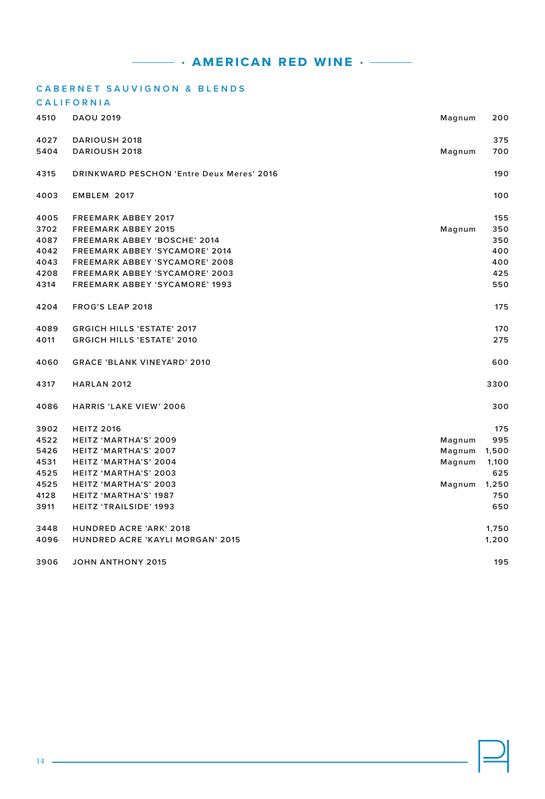### **CABERNET SAUVIGNON & BLENDS**

### **CALIFORNIA**

| 4510 | <b>DAOU 2019</b>                                 | Magnum | 200   |
|------|--------------------------------------------------|--------|-------|
| 4027 | <b>DARIOUSH 2018</b>                             |        | 375   |
| 5404 | <b>DARIOUSH 2018</b>                             | Magnum | 700   |
| 4315 | <b>DRINKWARD PESCHON 'Entre Deux Meres' 2016</b> |        | 190   |
| 4003 | EMBLEM 2017                                      |        | 100   |
| 4005 | <b>FREEMARK ABBEY 2017</b>                       |        | 155   |
| 3702 | <b>FREEMARK ABBEY 2015</b>                       | Magnum | 350   |
| 4087 | <b>FREEMARK ABBEY 'BOSCHE' 2014</b>              |        | 350   |
| 4042 | <b>FREEMARK ABBEY 'SYCAMORE' 2014</b>            |        | 400   |
| 4043 | <b>FREEMARK ABBEY 'SYCAMORE' 2008</b>            |        | 400   |
| 4208 | <b>FREEMARK ABBEY 'SYCAMORE' 2003</b>            |        | 425   |
| 4314 | <b>FREEMARK ABBEY 'SYCAMORE' 1993</b>            |        | 550   |
| 4204 | <b>FROG'S LEAP 2018</b>                          |        | 175   |
| 4089 | <b>GRGICH HILLS 'ESTATE' 2017</b>                |        | 170   |
| 4011 | <b>GRGICH HILLS 'ESTATE' 2010</b>                |        | 275   |
| 4060 | <b>GRACE 'BLANK VINEYARD' 2010</b>               |        | 600   |
| 4317 | <b>HARLAN 2012</b>                               |        | 3300  |
| 4086 | <b>HARRIS 'LAKE VIEW' 2006</b>                   |        | 300   |
| 3902 | <b>HEITZ 2016</b>                                |        | 175   |
| 4522 | HEITZ 'MARTHA'S' 2009                            | Magnum | 995   |
| 5426 | HEITZ 'MARTHA'S' 2007                            | Magnum | 1,500 |
| 4531 | HEITZ 'MARTHA'S' 2004                            | Magnum | 1,100 |
| 4525 | HEITZ 'MARTHA'S' 2003                            |        | 625   |
| 4525 | HEITZ 'MARTHA'S' 2003                            | Magnum | 1,250 |
| 4128 | HEITZ 'MARTHA'S' 1987                            |        | 750   |
| 3911 | <b>HEITZ 'TRAILSIDE' 1993</b>                    |        | 650   |
| 3448 | <b>HUNDRED ACRE 'ARK' 2018</b>                   |        | 1,750 |
| 4096 | HUNDRED ACRE 'KAYLI MORGAN' 2015                 |        | 1,200 |
| 3906 | <b>JOHN ANTHONY 2015</b>                         |        | 195   |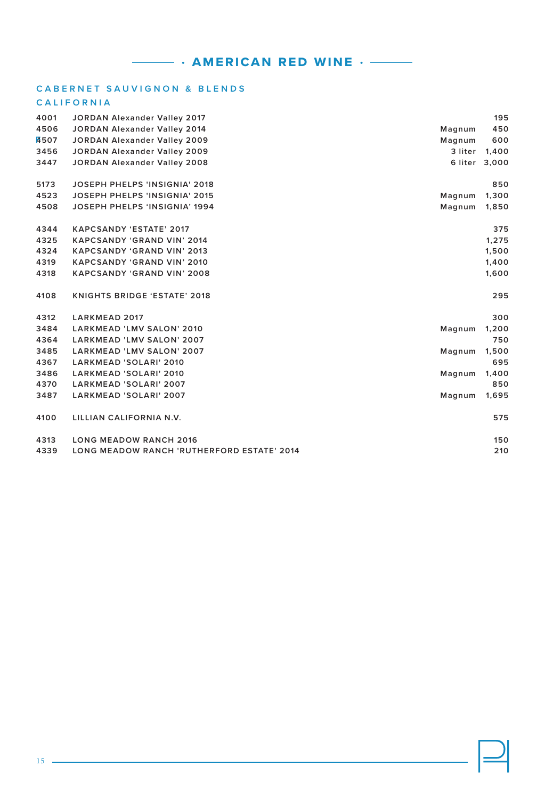### **CABERNET SAUVIGNON & BLENDS**

### **C A L I F O R N I A**

| 4001        | <b>JORDAN Alexander Valley 2017</b>               |         | 195           |
|-------------|---------------------------------------------------|---------|---------------|
| 4506        | <b>JORDAN Alexander Valley 2014</b>               | Magnum  | 450           |
| <b>A507</b> | <b>JORDAN Alexander Valley 2009</b>               | Magnum  | 600           |
| 3456        | <b>JORDAN Alexander Valley 2009</b>               | 3 liter | 1,400         |
| 3447        | JORDAN Alexander Valley 2008                      |         | 6 liter 3,000 |
| 5173        | <b>JOSEPH PHELPS 'INSIGNIA' 2018</b>              |         | 850           |
| 4523        | <b>JOSEPH PHELPS 'INSIGNIA' 2015</b>              | Magnum  | 1,300         |
| 4508        | <b>JOSEPH PHELPS 'INSIGNIA' 1994</b>              | Magnum  | 1,850         |
| 4344        | <b>KAPCSANDY 'ESTATE' 2017</b>                    |         | 375           |
| 4325        | <b>KAPCSANDY 'GRAND VIN' 2014</b>                 |         | 1,275         |
| 4324        | <b>KAPCSANDY 'GRAND VIN' 2013</b>                 |         | 1,500         |
| 4319        | <b>KAPCSANDY 'GRAND VIN' 2010</b>                 |         | 1,400         |
| 4318        | <b>KAPCSANDY 'GRAND VIN' 2008</b>                 |         | 1,600         |
| 4108        | <b>KNIGHTS BRIDGE 'ESTATE' 2018</b>               |         | 295           |
| 4312        | <b>LARKMEAD 2017</b>                              |         | 300           |
| 3484        | LARKMEAD 'LMV SALON' 2010                         | Magnum  | 1,200         |
| 4364        | LARKMEAD 'LMV SALON' 2007                         |         | 750           |
| 3485        | <b>LARKMEAD 'LMV SALON' 2007</b>                  | Magnum  | 1,500         |
| 4367        | LARKMEAD 'SOLARI' 2010                            |         | 695           |
| 3486        | LARKMEAD 'SOLARI' 2010                            | Magnum  | 1,400         |
| 4370        | LARKMEAD 'SOLARI' 2007                            |         | 850           |
| 3487        | LARKMEAD 'SOLARI' 2007                            | Magnum  | 1,695         |
| 4100        | LILLIAN CALIFORNIA N.V.                           |         | 575           |
| 4313        | <b>LONG MEADOW RANCH 2016</b>                     |         | 150           |
| 4339        | <b>LONG MEADOW RANCH 'RUTHERFORD ESTATE' 2014</b> |         | 210           |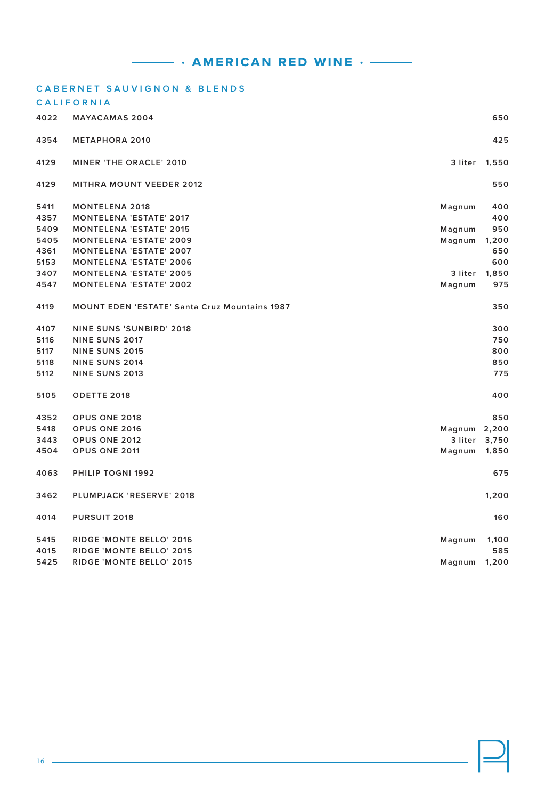|      | <b>CABERNET SAUVIGNON &amp; BLENDS</b>               |              |               |
|------|------------------------------------------------------|--------------|---------------|
|      | <b>CALIFORNIA</b>                                    |              |               |
| 4022 | <b>MAYACAMAS 2004</b>                                |              | 650           |
| 4354 | <b>METAPHORA 2010</b>                                |              | 425           |
| 4129 | <b>MINER 'THE ORACLE' 2010</b>                       | 3 liter      | 1,550         |
| 4129 | <b>MITHRA MOUNT VEEDER 2012</b>                      |              | 550           |
| 5411 | <b>MONTELENA 2018</b>                                | Magnum       | 400           |
| 4357 | <b>MONTELENA 'ESTATE' 2017</b>                       |              | 400           |
| 5409 | <b>MONTELENA 'ESTATE' 2015</b>                       | Magnum       | 950           |
| 5405 | <b>MONTELENA 'ESTATE' 2009</b>                       | Magnum       | 1,200         |
| 4361 | <b>MONTELENA 'ESTATE' 2007</b>                       |              | 650           |
| 5153 | <b>MONTELENA 'ESTATE' 2006</b>                       |              | 600           |
| 3407 | <b>MONTELENA 'ESTATE' 2005</b>                       | 3 liter      | 1,850         |
| 4547 | <b>MONTELENA 'ESTATE' 2002</b>                       | Magnum       | 975           |
| 4119 | <b>MOUNT EDEN 'ESTATE' Santa Cruz Mountains 1987</b> |              | 350           |
| 4107 | <b>NINE SUNS 'SUNBIRD' 2018</b>                      |              | 300           |
| 5116 | <b>NINE SUNS 2017</b>                                |              | 750           |
| 5117 | <b>NINE SUNS 2015</b>                                |              | 800           |
| 5118 | <b>NINE SUNS 2014</b>                                |              | 850           |
| 5112 | <b>NINE SUNS 2013</b>                                |              | 775           |
| 5105 | ODETTE 2018                                          |              | 400           |
| 4352 | OPUS ONE 2018                                        |              | 850           |
| 5418 | OPUS ONE 2016                                        | Magnum 2,200 |               |
| 3443 | OPUS ONE 2012                                        |              | 3 liter 3,750 |
| 4504 | OPUS ONE 2011                                        | Magnum       | 1,850         |
| 4063 | PHILIP TOGNI 1992                                    |              | 675           |
| 3462 | PLUMPJACK 'RESERVE' 2018                             |              | 1,200         |
| 4014 | <b>PURSUIT 2018</b>                                  |              | 160           |
| 5415 | RIDGE 'MONTE BELLO' 2016                             | Magnum       | 1,100         |
| 4015 | RIDGE 'MONTE BELLO' 2015                             |              | 585           |
| 5425 | RIDGE 'MONTE BELLO' 2015                             | Magnum       | 1,200         |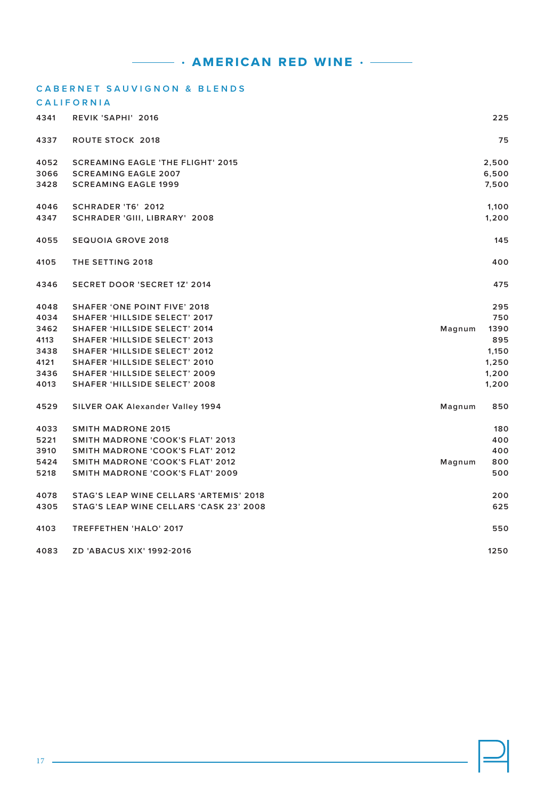|      | <b>CABERNET SAUVIGNON &amp; BLENDS</b>   |        |       |
|------|------------------------------------------|--------|-------|
|      | <b>CALIFORNIA</b>                        |        |       |
| 4341 | REVIK 'SAPHI' 2016                       |        | 225   |
| 4337 | <b>ROUTE STOCK 2018</b>                  |        | 75    |
| 4052 | <b>SCREAMING EAGLE 'THE FLIGHT' 2015</b> |        | 2,500 |
| 3066 | <b>SCREAMING EAGLE 2007</b>              |        | 6,500 |
| 3428 | <b>SCREAMING EAGLE 1999</b>              |        | 7,500 |
| 4046 | SCHRADER 'T6' 2012                       |        | 1,100 |
| 4347 | SCHRADER 'GIII, LIBRARY' 2008            |        | 1,200 |
| 4055 | <b>SEQUOIA GROVE 2018</b>                |        | 145   |
| 4105 | THE SETTING 2018                         |        | 400   |
| 4346 | <b>SECRET DOOR 'SECRET 1Z' 2014</b>      |        | 475   |
| 4048 | <b>SHAFER 'ONE POINT FIVE' 2018</b>      |        | 295   |
| 4034 | <b>SHAFER 'HILLSIDE SELECT' 2017</b>     |        | 750   |
| 3462 | <b>SHAFER 'HILLSIDE SELECT' 2014</b>     | Magnum | 1390  |
| 4113 | <b>SHAFER 'HILLSIDE SELECT' 2013</b>     |        | 895   |
| 3438 | <b>SHAFER 'HILLSIDE SELECT' 2012</b>     |        | 1,150 |
| 4121 | <b>SHAFER 'HILLSIDE SELECT' 2010</b>     |        | 1,250 |
| 3436 | <b>SHAFER 'HILLSIDE SELECT' 2009</b>     |        | 1,200 |
| 4013 | <b>SHAFER 'HILLSIDE SELECT' 2008</b>     |        | 1,200 |
| 4529 | SILVER OAK Alexander Valley 1994         | Magnum | 850   |
| 4033 | <b>SMITH MADRONE 2015</b>                |        | 180   |
| 5221 | <b>SMITH MADRONE 'COOK'S FLAT' 2013</b>  |        | 400   |
| 3910 | SMITH MADRONE 'COOK'S FLAT' 2012         |        | 400   |
| 5424 | <b>SMITH MADRONE 'COOK'S FLAT' 2012</b>  | Magnum | 800   |
| 5218 | SMITH MADRONE 'COOK'S FLAT' 2009         |        | 500   |
| 4078 | STAG'S LEAP WINE CELLARS 'ARTEMIS' 2018  |        | 200   |
| 4305 | STAG'S LEAP WINE CELLARS 'CASK 23' 2008  |        | 625   |
| 4103 | <b>TREFFETHEN 'HALO' 2017</b>            |        | 550   |
| 4083 | <b>ZD 'ABACUS XIX' 1992-2016</b>         |        | 1250  |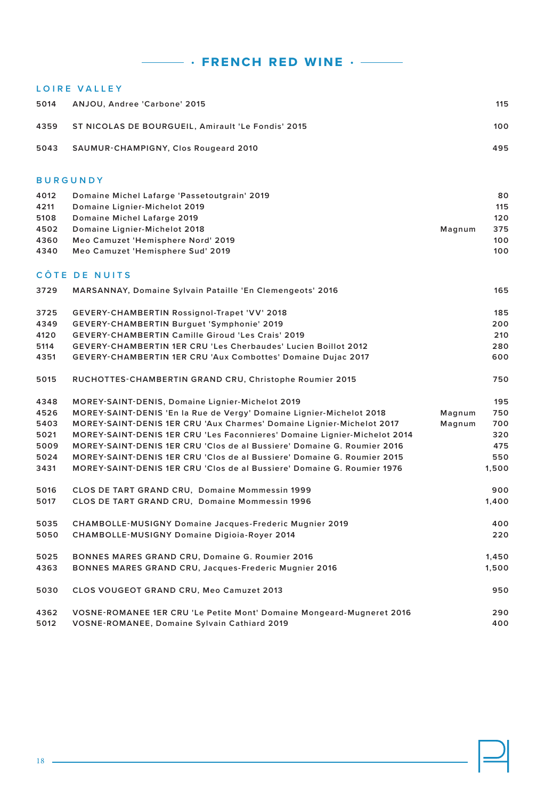### **L O I R E V A L L E Y**

| 5014 | ANJOU, Andree 'Carbone' 2015                       | 115 |
|------|----------------------------------------------------|-----|
| 4359 | ST NICOLAS DE BOURGUEIL. Amirault 'Le Fondis' 2015 | 100 |
| 5043 | <b>SAUMUR-CHAMPIGNY, Clos Rougeard 2010</b>        | 495 |

### **BURGUNDY**

| 4012 | Domaine Michel Lafarge 'Passetoutgrain' 2019 |        | 80  |
|------|----------------------------------------------|--------|-----|
| 4211 | Domaine Lignier-Michelot 2019                |        | 115 |
| 5108 | Domaine Michel Lafarge 2019                  |        | 120 |
| 4502 | Domaine Lignier-Michelot 2018                | Magnum | 375 |
| 4360 | Meo Camuzet 'Hemisphere Nord' 2019           |        | 100 |
| 4340 | Meo Camuzet 'Hemisphere Sud' 2019            |        | 100 |

### **CÔTE DE NUITS**

| 3729 | MARSANNAY, Domaine Sylvain Pataille 'En Clemengeots' 2016                      |        | 165   |
|------|--------------------------------------------------------------------------------|--------|-------|
| 3725 | GEVERY-CHAMBERTIN Rossignol-Trapet 'VV' 2018                                   |        | 185   |
| 4349 | GEVERY-CHAMBERTIN Burguet 'Symphonie' 2019                                     |        | 200   |
| 4120 | <b>GEVERY-CHAMBERTIN Camille Giroud 'Les Crais' 2019</b>                       |        | 210   |
| 5114 | <b>GEVERY-CHAMBERTIN 1ER CRU 'Les Cherbaudes' Lucien Boillot 2012</b>          |        | 280   |
| 4351 | GEVERY-CHAMBERTIN 1ER CRU 'Aux Combottes' Domaine Dujac 2017                   |        | 600   |
| 5015 | RUCHOTTES-CHAMBERTIN GRAND CRU, Christophe Roumier 2015                        |        | 750   |
| 4348 | MOREY-SAINT-DENIS, Domaine Lignier-Michelot 2019                               |        | 195   |
| 4526 | MOREY-SAINT-DENIS 'En la Rue de Vergy' Domaine Lignier-Michelot 2018           | Magnum | 750   |
| 5403 | MOREY-SAINT-DENIS 1ER CRU 'Aux Charmes' Domaine Lignier-Michelot 2017          | Magnum | 700   |
| 5021 | MOREY-SAINT-DENIS 1ER CRU 'Les Faconnieres' Domaine Lignier-Michelot 2014      |        | 320   |
| 5009 | MOREY-SAINT-DENIS 1ER CRU 'Clos de al Bussiere' Domaine G. Roumier 2016        |        | 475   |
| 5024 | MOREY-SAINT-DENIS 1ER CRU 'Clos de al Bussiere' Domaine G. Roumier 2015        |        | 550   |
| 3431 | <b>MOREY-SAINT-DENIS 1ER CRU 'Clos de al Bussiere' Domaine G. Roumier 1976</b> |        | 1,500 |
| 5016 | CLOS DE TART GRAND CRU, Domaine Mommessin 1999                                 |        | 900   |
| 5017 | CLOS DE TART GRAND CRU, Domaine Mommessin 1996                                 |        | 1,400 |
| 5035 | CHAMBOLLE-MUSIGNY Domaine Jacques-Frederic Mugnier 2019                        |        | 400   |
| 5050 | CHAMBOLLE-MUSIGNY Domaine Digioia-Royer 2014                                   |        | 220   |
| 5025 | <b>BONNES MARES GRAND CRU, Domaine G. Roumier 2016</b>                         |        | 1,450 |
| 4363 | BONNES MARES GRAND CRU, Jacques-Frederic Mugnier 2016                          |        | 1,500 |
| 5030 | CLOS VOUGEOT GRAND CRU, Meo Camuzet 2013                                       |        | 950   |
| 4362 | VOSNE-ROMANEE 1ER CRU 'Le Petite Mont' Domaine Mongeard-Mugneret 2016          |        | 290   |
| 5012 | VOSNE-ROMANEE, Domaine Sylvain Cathiard 2019                                   |        | 400   |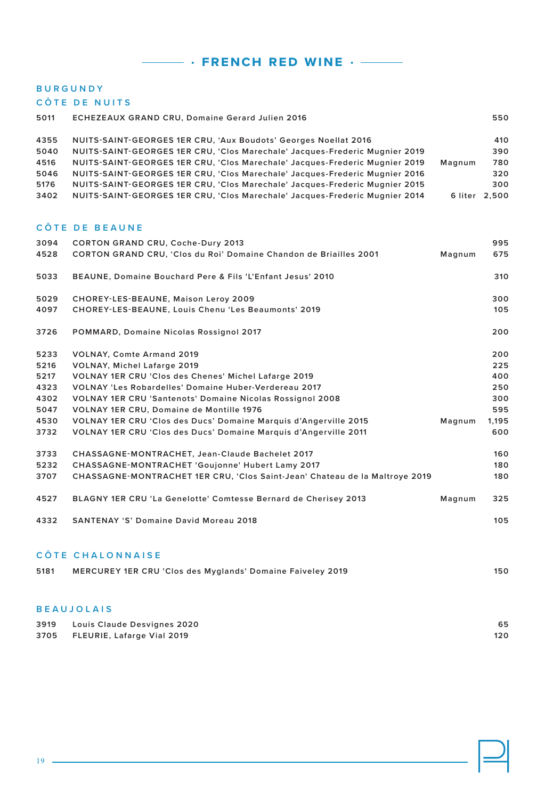# **BURGUNDY**

**C Ô T E D E N U I T S** 

|                                      | <b>COTE DE NUITS</b>                                                                                                                                                                                                                                                                                                                                                                        |        |                                 |
|--------------------------------------|---------------------------------------------------------------------------------------------------------------------------------------------------------------------------------------------------------------------------------------------------------------------------------------------------------------------------------------------------------------------------------------------|--------|---------------------------------|
| 5011                                 | <b>ECHEZEAUX GRAND CRU, Domaine Gerard Julien 2016</b>                                                                                                                                                                                                                                                                                                                                      |        | 550                             |
| 4355<br>5040<br>4516<br>5046<br>5176 | NUITS-SAINT-GEORGES 1ER CRU, 'Aux Boudots' Georges Noellat 2016<br>NUITS-SAINT-GEORGES 1ER CRU, 'Clos Marechale' Jacques-Frederic Mugnier 2019<br>NUITS-SAINT-GEORGES 1ER CRU, 'Clos Marechale' Jacques-Frederic Mugnier 2019<br>NUITS-SAINT-GEORGES 1ER CRU, 'Clos Marechale' Jacques-Frederic Mugnier 2016<br>NUITS-SAINT-GEORGES 1ER CRU, 'Clos Marechale' Jacques-Frederic Mugnier 2015 | Magnum | 410<br>390<br>780<br>320<br>300 |
| 3402                                 | NUITS-SAINT-GEORGES 1ER CRU, 'Clos Marechale' Jacques-Frederic Mugnier 2014                                                                                                                                                                                                                                                                                                                 |        | 6 liter 2,500                   |
|                                      | CÔTE DE BEAUNE                                                                                                                                                                                                                                                                                                                                                                              |        |                                 |
| 3094                                 | <b>CORTON GRAND CRU, Coche-Dury 2013</b>                                                                                                                                                                                                                                                                                                                                                    |        | 995                             |
| 4528                                 | CORTON GRAND CRU, 'Clos du Roi' Domaine Chandon de Briailles 2001                                                                                                                                                                                                                                                                                                                           | Magnum | 675                             |
| 5033                                 | BEAUNE, Domaine Bouchard Pere & Fils 'L'Enfant Jesus' 2010                                                                                                                                                                                                                                                                                                                                  |        | 310                             |
| 5029                                 | CHOREY-LES-BEAUNE, Maison Leroy 2009                                                                                                                                                                                                                                                                                                                                                        |        | 300                             |
|                                      |                                                                                                                                                                                                                                                                                                                                                                                             |        |                                 |
| 4097                                 | CHOREY-LES-BEAUNE, Louis Chenu 'Les Beaumonts' 2019                                                                                                                                                                                                                                                                                                                                         |        | 105                             |
| 3726                                 | <b>POMMARD, Domaine Nicolas Rossignol 2017</b>                                                                                                                                                                                                                                                                                                                                              |        | 200                             |
| 5233                                 | <b>VOLNAY, Comte Armand 2019</b>                                                                                                                                                                                                                                                                                                                                                            |        | 200                             |
| 5216                                 | <b>VOLNAY, Michel Lafarge 2019</b>                                                                                                                                                                                                                                                                                                                                                          |        | 225                             |
| 5217                                 | VOLNAY 1ER CRU 'Clos des Chenes' Michel Lafarge 2019                                                                                                                                                                                                                                                                                                                                        |        | 400                             |
| 4323                                 | VOLNAY 'Les Robardelles' Domaine Huber-Verdereau 2017                                                                                                                                                                                                                                                                                                                                       |        | 250                             |
| 4302                                 | <b>VOLNAY 1ER CRU 'Santenots' Domaine Nicolas Rossignol 2008</b>                                                                                                                                                                                                                                                                                                                            |        | 300                             |
| 5047                                 | VOLNAY 1ER CRU, Domaine de Montille 1976                                                                                                                                                                                                                                                                                                                                                    |        | 595                             |
| 4530                                 | VOLNAY 1ER CRU 'Clos des Ducs' Domaine Marquis d'Angerville 2015                                                                                                                                                                                                                                                                                                                            | Magnum | 1,195                           |
| 3732                                 | VOLNAY 1ER CRU 'Clos des Ducs' Domaine Marquis d'Angerville 2011                                                                                                                                                                                                                                                                                                                            |        | 600                             |
| 3733                                 | CHASSAGNE-MONTRACHET, Jean-Claude Bachelet 2017                                                                                                                                                                                                                                                                                                                                             |        | 160                             |
| 5232                                 | CHASSAGNE-MONTRACHET 'Goujonne' Hubert Lamy 2017                                                                                                                                                                                                                                                                                                                                            |        | 180                             |
| 3707                                 | CHASSAGNE-MONTRACHET 1ER CRU, 'Clos Saint-Jean' Chateau de la Maltroye 2019                                                                                                                                                                                                                                                                                                                 |        | 180                             |
| 4527                                 | BLAGNY 1ER CRU 'La Genelotte' Comtesse Bernard de Cherisey 2013                                                                                                                                                                                                                                                                                                                             | Magnum | 325                             |
| 4332                                 | <b>SANTENAY 'S' Domaine David Moreau 2018</b>                                                                                                                                                                                                                                                                                                                                               |        | 105                             |
|                                      | CÔTE CHALONNAISE                                                                                                                                                                                                                                                                                                                                                                            |        |                                 |
| 5181                                 | <b>MERCUREY 1ER CRU 'Clos des Myglands' Domaine Faiveley 2019</b>                                                                                                                                                                                                                                                                                                                           |        | 150                             |
|                                      |                                                                                                                                                                                                                                                                                                                                                                                             |        |                                 |

### **BEAUJOLAIS**

| 3919 | Louis Claude Desvignes 2020     | 65  |
|------|---------------------------------|-----|
|      | 3705 FLEURIE, Lafarge Vial 2019 | 120 |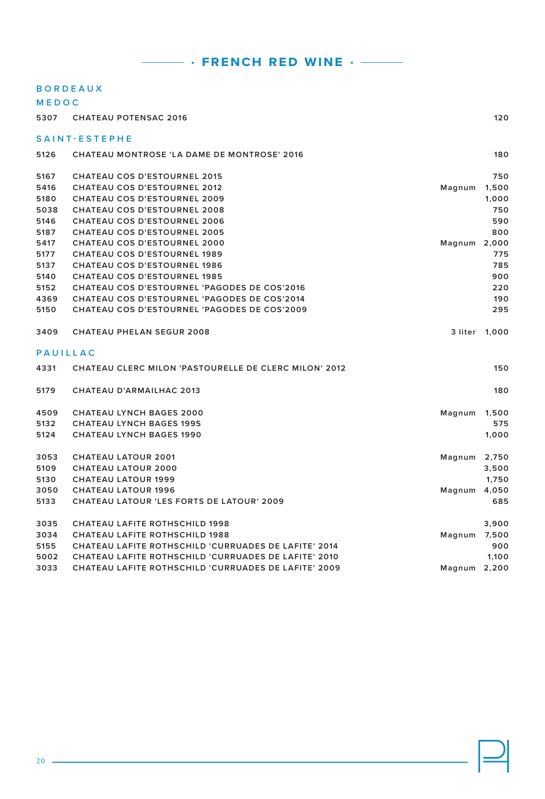### **B O R D E A U X**

| MEDOC           |                                                              |              |       |
|-----------------|--------------------------------------------------------------|--------------|-------|
| 5307            | <b>CHATEAU POTENSAC 2016</b>                                 |              | 120   |
|                 | SAINT-ESTEPHE                                                |              |       |
| 5126            | CHATEAU MONTROSE 'LA DAME DE MONTROSE' 2016                  |              | 180   |
| 5167            | <b>CHATEAU COS D'ESTOURNEL 2015</b>                          |              | 750   |
| 5416            | CHATEAU COS D'ESTOURNEL 2012                                 | Magnum       | 1,500 |
| 5180            | <b>CHATEAU COS D'ESTOURNEL 2009</b>                          |              | 1,000 |
| 5038            | <b>CHATEAU COS D'ESTOURNEL 2008</b>                          |              | 750   |
| 5146            | <b>CHATEAU COS D'ESTOURNEL 2006</b>                          |              | 590   |
| 5187            | <b>CHATEAU COS D'ESTOURNEL 2005</b>                          |              | 800   |
| 5417            | <b>CHATEAU COS D'ESTOURNEL 2000</b>                          | Magnum 2,000 |       |
| 5177            | <b>CHATEAU COS D'ESTOURNEL 1989</b>                          |              | 775   |
| 5137            | <b>CHATEAU COS D'ESTOURNEL 1986</b>                          |              | 785   |
| 5140            | <b>CHATEAU COS D'ESTOURNEL 1985</b>                          |              | 900   |
| 5152            | <b>CHATEAU COS D'ESTOURNEL 'PAGODES DE COS'2016</b>          |              | 220   |
| 4369            | CHATEAU COS D'ESTOURNEL 'PAGODES DE COS'2014                 |              | 190   |
| 5150            | <b>CHATEAU COS D'ESTOURNEL 'PAGODES DE COS'2009</b>          |              | 295   |
| 3409            | <b>CHATEAU PHELAN SEGUR 2008</b>                             | 3 liter      | 1,000 |
| <b>PAUILLAC</b> |                                                              |              |       |
| 4331            | <b>CHATEAU CLERC MILON 'PASTOURELLE DE CLERC MILON' 2012</b> |              | 150   |
| 5179            | <b>CHATEAU D'ARMAILHAC 2013</b>                              |              | 180   |
| 4509            | <b>CHATEAU LYNCH BAGES 2000</b>                              | Magnum       | 1,500 |
| 5132            | <b>CHATEAU LYNCH BAGES 1995</b>                              |              | 575   |
| 5124            | <b>CHATEAU LYNCH BAGES 1990</b>                              |              | 1,000 |
| 3053            | <b>CHATEAU LATOUR 2001</b>                                   | Magnum       | 2,750 |
| 5109            | <b>CHATEAU LATOUR 2000</b>                                   |              | 3,500 |
| 5130            | <b>CHATEAU LATOUR 1999</b>                                   |              | 1,750 |
| 3050            | <b>CHATEAU LATOUR 1996</b>                                   | Magnum       | 4,050 |
| 5133            | <b>CHATEAU LATOUR 'LES FORTS DE LATOUR' 2009</b>             |              | 685   |
| 3035            | <b>CHATEAU LAFITE ROTHSCHILD 1998</b>                        |              | 3,900 |
| 3034            | <b>CHATEAU LAFITE ROTHSCHILD 1988</b>                        | Magnum       | 7,500 |
| 5155            | CHATEAU LAFITE ROTHSCHILD 'CURRUADES DE LAFITE' 2014         |              | 900   |
| 5002            | CHATEAU LAFITE ROTHSCHILD 'CURRUADES DE LAFITE' 2010         |              | 1,100 |
| 3033            | <b>CHATEAU LAFITE ROTHSCHILD 'CURRUADES DE LAFITE' 2009</b>  | Magnum 2,200 |       |
|                 |                                                              |              |       |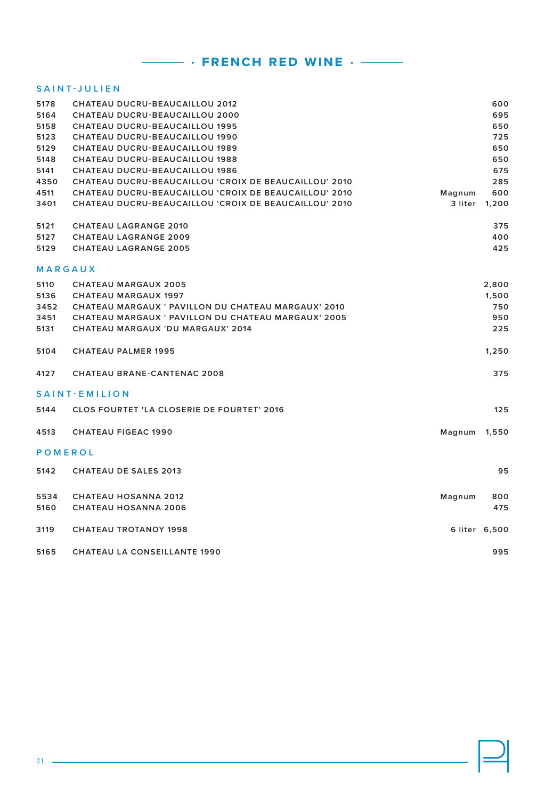### **SAINT-JULIEN**

| 5178           | CHATEAU DUCRU-BEAUCAILLOU 2012                        |         | 600           |
|----------------|-------------------------------------------------------|---------|---------------|
| 5164           | <b>CHATEAU DUCRU-BEAUCAILLOU 2000</b>                 |         | 695           |
| 5158           | <b>CHATEAU DUCRU-BEAUCAILLOU 1995</b>                 |         | 650           |
| 5123           | <b>CHATEAU DUCRU-BEAUCAILLOU 1990</b>                 |         | 725           |
| 5129           | <b>CHATEAU DUCRU-BEAUCAILLOU 1989</b>                 |         | 650           |
| 5148           | <b>CHATEAU DUCRU-BEAUCAILLOU 1988</b>                 |         | 650           |
| 5141           | <b>CHATEAU DUCRU-BEAUCAILLOU 1986</b>                 |         | 675           |
| 4350           | CHATEAU DUCRU-BEAUCAILLOU 'CROIX DE BEAUCAILLOU' 2010 |         | 285           |
| 4511           | CHATEAU DUCRU-BEAUCAILLOU 'CROIX DE BEAUCAILLOU' 2010 | Magnum  | 600           |
| 3401           | CHATEAU DUCRU-BEAUCAILLOU 'CROIX DE BEAUCAILLOU' 2010 | 3 liter | 1,200         |
| 5121           | <b>CHATEAU LAGRANGE 2010</b>                          |         | 375           |
| 5127           | <b>CHATEAU LAGRANGE 2009</b>                          |         | 400           |
| 5129           | <b>CHATEAU LAGRANGE 2005</b>                          |         | 425           |
|                | MARGAUX                                               |         |               |
| 5110           | <b>CHATEAU MARGAUX 2005</b>                           |         | 2,800         |
| 5136           | <b>CHATEAU MARGAUX 1997</b>                           |         | 1,500         |
| 3452           | CHATEAU MARGAUX ' PAVILLON DU CHATEAU MARGAUX' 2010   |         | 750           |
| 3451           | CHATEAU MARGAUX ' PAVILLON DU CHATEAU MARGAUX' 2005   |         | 950           |
| 5131           | CHATEAU MARGAUX 'DU MARGAUX' 2014                     |         | 225           |
| 5104           | <b>CHATEAU PALMER 1995</b>                            |         | 1,250         |
| 4127           | <b>CHATEAU BRANE-CANTENAC 2008</b>                    |         | 375           |
|                | SAINT-EMILION                                         |         |               |
| 5144           | <b>CLOS FOURTET 'LA CLOSERIE DE FOURTET' 2016</b>     |         | 125           |
| 4513           | <b>CHATEAU FIGEAC 1990</b>                            | Magnum  | 1,550         |
| <b>POMEROL</b> |                                                       |         |               |
| 5142           | <b>CHATEAU DE SALES 2013</b>                          |         | 95            |
| 5534           | <b>CHATEAU HOSANNA 2012</b>                           | Magnum  | 800           |
| 5160           | <b>CHATEAU HOSANNA 2006</b>                           |         | 475           |
| 3119           | <b>CHATEAU TROTANOY 1998</b>                          |         | 6 liter 6,500 |
| 5165           | <b>CHATEAU LA CONSEILLANTE 1990</b>                   |         | 995           |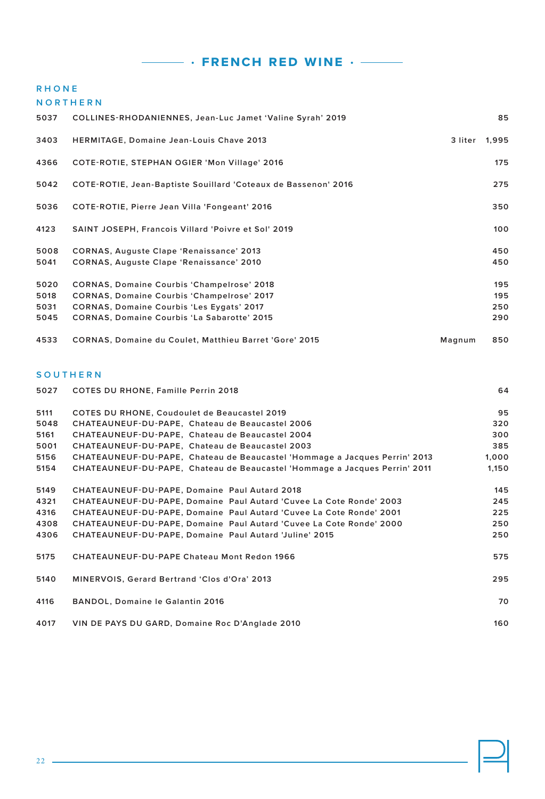### **RHONE**

**NORTHERN**

| 5037 | COLLINES-RHODANIENNES, Jean-Luc Jamet 'Valine Syrah' 2019      |         | 85    |
|------|----------------------------------------------------------------|---------|-------|
| 3403 | <b>HERMITAGE, Domaine Jean-Louis Chave 2013</b>                | 3 liter | 1,995 |
| 4366 | COTE-ROTIE, STEPHAN OGIER 'Mon Village' 2016                   |         | 175   |
| 5042 | COTE-ROTIE, Jean-Baptiste Souillard 'Coteaux de Bassenon' 2016 |         | 275   |
| 5036 | COTE-ROTIE, Pierre Jean Villa 'Fongeant' 2016                  |         | 350   |
| 4123 | SAINT JOSEPH, Francois Villard 'Poivre et Sol' 2019            |         | 100   |
| 5008 | <b>CORNAS, Auguste Clape 'Renaissance' 2013</b>                |         | 450   |
| 5041 | <b>CORNAS, Auguste Clape 'Renaissance' 2010</b>                |         | 450   |
| 5020 | <b>CORNAS, Domaine Courbis 'Champelrose' 2018</b>              |         | 195   |
| 5018 | <b>CORNAS, Domaine Courbis 'Champelrose' 2017</b>              |         | 195   |
| 5031 | <b>CORNAS, Domaine Courbis 'Les Eygats' 2017</b>               |         | 250   |
| 5045 | <b>CORNAS, Domaine Courbis 'La Sabarotte' 2015</b>             |         | 290   |
| 4533 | <b>CORNAS, Domaine du Coulet, Matthieu Barret 'Gore' 2015</b>  | Magnum  | 850   |

### **SOUTHERN**

| 5027 | <b>COTES DU RHONE, Famille Perrin 2018</b>                                 | 64    |
|------|----------------------------------------------------------------------------|-------|
| 5111 | <b>COTES DU RHONE, Coudoulet de Beaucastel 2019</b>                        | 95    |
| 5048 | CHATEAUNEUF-DU-PAPE, Chateau de Beaucastel 2006                            | 320   |
| 5161 | CHATEAUNEUF-DU-PAPE, Chateau de Beaucastel 2004                            | 300   |
| 5001 | CHATEAUNEUF-DU-PAPE, Chateau de Beaucastel 2003                            | 385   |
| 5156 | CHATEAUNEUF-DU-PAPE, Chateau de Beaucastel 'Hommage a Jacques Perrin' 2013 | 1,000 |
| 5154 | CHATEAUNEUF-DU-PAPE, Chateau de Beaucastel 'Hommage a Jacques Perrin' 2011 | 1,150 |
| 5149 | CHATEAUNEUF-DU-PAPE, Domaine Paul Autard 2018                              | 145   |
| 4321 | CHATEAUNEUF-DU-PAPE, Domaine Paul Autard 'Cuvee La Cote Ronde' 2003        | 245   |
| 4316 | CHATEAUNEUF-DU-PAPE, Domaine Paul Autard 'Cuvee La Cote Ronde' 2001        | 225   |
| 4308 | CHATEAUNEUF-DU-PAPE, Domaine Paul Autard 'Cuvee La Cote Ronde' 2000        | 250   |
| 4306 | CHATEAUNEUF-DU-PAPE, Domaine Paul Autard 'Juline' 2015                     | 250   |
| 5175 | <b>CHATEAUNEUF-DU-PAPE Chateau Mont Redon 1966</b>                         | 575   |
| 5140 | MINERVOIS, Gerard Bertrand 'Clos d'Ora' 2013                               | 295   |
| 4116 | BANDOL, Domaine le Galantin 2016                                           | 70    |
| 4017 | VIN DE PAYS DU GARD, Domaine Roc D'Anglade 2010                            | 160   |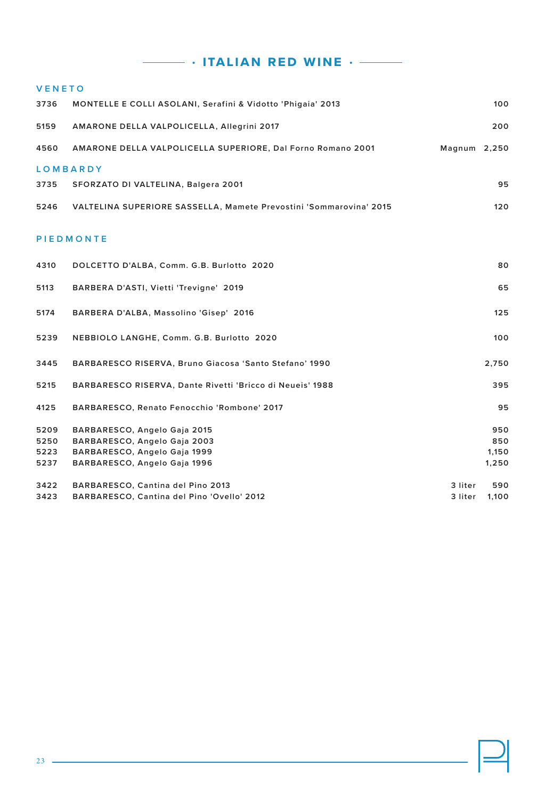$\cdot$  italian red wine  $\cdot$   $-$ 

| <b>VENETO</b> |                                                                    |              |       |
|---------------|--------------------------------------------------------------------|--------------|-------|
| 3736          | MONTELLE E COLLI ASOLANI, Serafini & Vidotto 'Phigaia' 2013        |              | 100   |
| 5159          | AMARONE DELLA VALPOLICELLA, Allegrini 2017                         |              | 200   |
|               |                                                                    |              |       |
| 4560          | AMARONE DELLA VALPOLICELLA SUPERIORE, Dal Forno Romano 2001        | Magnum 2,250 |       |
|               | <b>LOMBARDY</b>                                                    |              |       |
|               |                                                                    |              |       |
| 3735          | SFORZATO DI VALTELINA, Balgera 2001                                |              | 95    |
| 5246          | VALTELINA SUPERIORE SASSELLA, Mamete Prevostini 'Sommarovina' 2015 |              | 120   |
|               |                                                                    |              |       |
|               | <b>PIEDMONTE</b>                                                   |              |       |
|               |                                                                    |              |       |
| 4310          | DOLCETTO D'ALBA, Comm. G.B. Burlotto 2020                          |              | 80    |
|               |                                                                    |              |       |
| 5113          | BARBERA D'ASTI, Vietti 'Trevigne' 2019                             |              | 65    |
|               |                                                                    |              |       |
| 5174          | BARBERA D'ALBA, Massolino 'Gisep' 2016                             |              | 125   |
| 5239          | NEBBIOLO LANGHE, Comm. G.B. Burlotto 2020                          |              | 100   |
|               |                                                                    |              |       |
| 3445          | BARBARESCO RISERVA, Bruno Giacosa 'Santo Stefano' 1990             |              | 2,750 |
|               |                                                                    |              |       |
| 5215          | BARBARESCO RISERVA, Dante Rivetti 'Bricco di Neueis' 1988          |              | 395   |
| 4125          | BARBARESCO, Renato Fenocchio 'Rombone' 2017                        |              | 95    |
|               |                                                                    |              |       |
| 5209          | BARBARESCO, Angelo Gaja 2015                                       |              | 950   |
| 5250          | BARBARESCO, Angelo Gaja 2003                                       |              | 850   |
| 5223          | BARBARESCO, Angelo Gaja 1999                                       |              | 1,150 |
| 5237          | BARBARESCO, Angelo Gaja 1996                                       |              | 1,250 |
| 3422          | BARBARESCO, Cantina del Pino 2013                                  | 3 liter      | 590   |
| 3423          | BARBARESCO, Cantina del Pino 'Ovello' 2012                         | 3 liter      | 1,100 |
|               |                                                                    |              |       |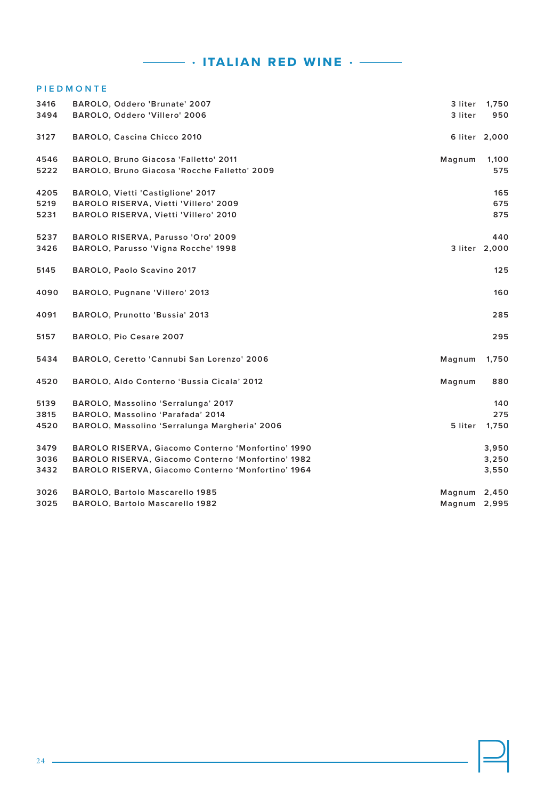# **• italian red wine •**

### **P I E D M O N T E**

| 3416 | BAROLO, Oddero 'Brunate' 2007                      | 3 liter | 1,750         |
|------|----------------------------------------------------|---------|---------------|
| 3494 | BAROLO, Oddero 'Villero' 2006                      | 3 liter | 950           |
| 3127 | BAROLO, Cascina Chicco 2010                        |         | 6 liter 2,000 |
| 4546 | BAROLO, Bruno Giacosa 'Falletto' 2011              | Magnum  | 1,100         |
| 5222 | BAROLO, Bruno Giacosa 'Rocche Falletto' 2009       |         | 575           |
| 4205 | BAROLO, Vietti 'Castiglione' 2017                  |         | 165           |
| 5219 | BAROLO RISERVA, Vietti 'Villero' 2009              |         | 675           |
| 5231 | BAROLO RISERVA, Vietti 'Villero' 2010              |         | 875           |
| 5237 | BAROLO RISERVA, Parusso 'Oro' 2009                 |         | 440           |
| 3426 | BAROLO, Parusso 'Vigna Rocche' 1998                |         | 3 liter 2,000 |
| 5145 | BAROLO, Paolo Scavino 2017                         |         | 125           |
| 4090 | BAROLO, Pugnane 'Villero' 2013                     |         | 160           |
| 4091 | BAROLO, Prunotto 'Bussia' 2013                     |         | 285           |
| 5157 | BAROLO, Pio Cesare 2007                            |         | 295           |
| 5434 | BAROLO, Ceretto 'Cannubi San Lorenzo' 2006         | Magnum  | 1,750         |
| 4520 | BAROLO, Aldo Conterno 'Bussia Cicala' 2012         | Magnum  | 880           |
| 5139 | BAROLO, Massolino 'Serralunga' 2017                |         | 140           |
| 3815 | BAROLO, Massolino 'Parafada' 2014                  |         | 275           |
| 4520 | BAROLO, Massolino 'Serralunga Margheria' 2006      | 5 liter | 1,750         |
| 3479 | BAROLO RISERVA, Giacomo Conterno 'Monfortino' 1990 |         | 3,950         |
| 3036 | BAROLO RISERVA, Giacomo Conterno 'Monfortino' 1982 |         | 3,250         |
| 3432 | BAROLO RISERVA, Giacomo Conterno 'Monfortino' 1964 |         | 3,550         |
| 3026 | BAROLO, Bartolo Mascarello 1985                    | Magnum  | 2,450         |
| 3025 | BAROLO, Bartolo Mascarello 1982                    | Magnum  | 2,995         |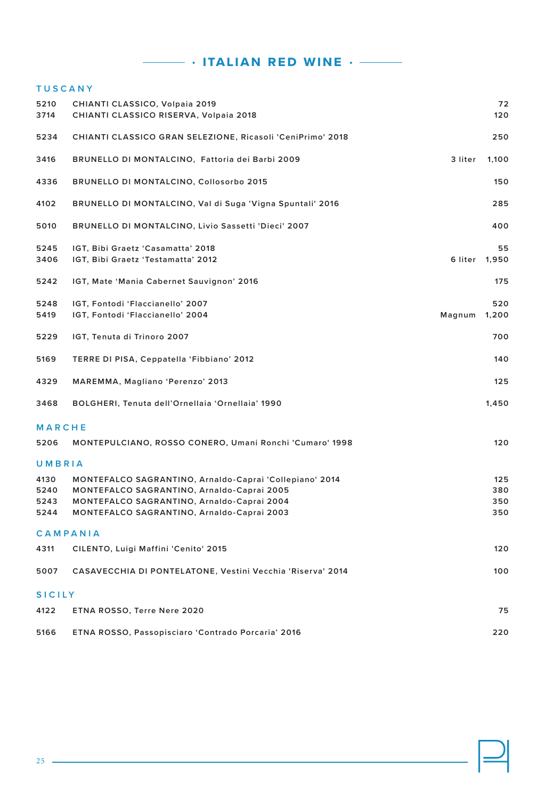**• italian red wine •** 

| <b>TUSCANY</b> |                                                                                                 |         |                     |
|----------------|-------------------------------------------------------------------------------------------------|---------|---------------------|
| 5210<br>3714   | CHIANTI CLASSICO, Volpaia 2019<br>CHIANTI CLASSICO RISERVA, Volpaia 2018                        |         | 72<br>120           |
| 5234           | CHIANTI CLASSICO GRAN SELEZIONE, Ricasoli 'CeniPrimo' 2018                                      |         | 250                 |
| 3416           | BRUNELLO DI MONTALCINO, Fattoria dei Barbi 2009                                                 | 3 liter | 1,100               |
| 4336           | <b>BRUNELLO DI MONTALCINO, Collosorbo 2015</b>                                                  |         | 150                 |
| 4102           | BRUNELLO DI MONTALCINO, Val di Suga 'Vigna Spuntali' 2016                                       |         | 285                 |
| 5010           | BRUNELLO DI MONTALCINO, Livio Sassetti 'Dieci' 2007                                             |         | 400                 |
| 5245<br>3406   | IGT, Bibi Graetz 'Casamatta' 2018<br>IGT, Bibi Graetz 'Testamatta' 2012                         |         | 55<br>6 liter 1,950 |
| 5242           | IGT, Mate 'Mania Cabernet Sauvignon' 2016                                                       |         | 175                 |
| 5248<br>5419   | IGT, Fontodi 'Flaccianello' 2007<br>IGT, Fontodi 'Flaccianello' 2004                            | Magnum  | 520<br>1,200        |
| 5229           | IGT, Tenuta di Trinoro 2007                                                                     |         | 700                 |
| 5169           | TERRE DI PISA, Ceppatella 'Fibbiano' 2012                                                       |         | 140                 |
| 4329           | MAREMMA, Magliano 'Perenzo' 2013                                                                |         | 125                 |
| 3468           | BOLGHERI, Tenuta dell'Ornellaia 'Ornellaia' 1990                                                |         | 1,450               |
| MARCHE         |                                                                                                 |         |                     |
| 5206           | MONTEPULCIANO, ROSSO CONERO, Umani Ronchi 'Cumaro' 1998                                         |         | 120                 |
| UMBRIA         |                                                                                                 |         |                     |
| 4130           | MONTEFALCO SAGRANTINO, Arnaldo-Caprai 'Collepiano' 2014                                         |         | 125                 |
| 5240<br>5243   | <b>MONTEFALCO SAGRANTINO, Arnaldo-Caprai 2005</b><br>MONTEFALCO SAGRANTINO, Arnaldo-Caprai 2004 |         | 380<br>350          |
| 5244           | MONTEFALCO SAGRANTINO, Arnaldo-Caprai 2003                                                      |         | 350                 |
|                | CAMPANIA                                                                                        |         |                     |
| 4311           | CILENTO, Luigi Maffini 'Cenito' 2015                                                            |         | 120                 |
| 5007           | CASAVECCHIA DI PONTELATONE, Vestini Vecchia 'Riserva' 2014                                      |         | 100                 |
| <b>SICILY</b>  |                                                                                                 |         |                     |
| 4122           | ETNA ROSSO, Terre Nere 2020                                                                     |         | 75                  |
| 5166           | ETNA ROSSO, Passopisciaro 'Contrado Porcaria' 2016                                              |         | 220                 |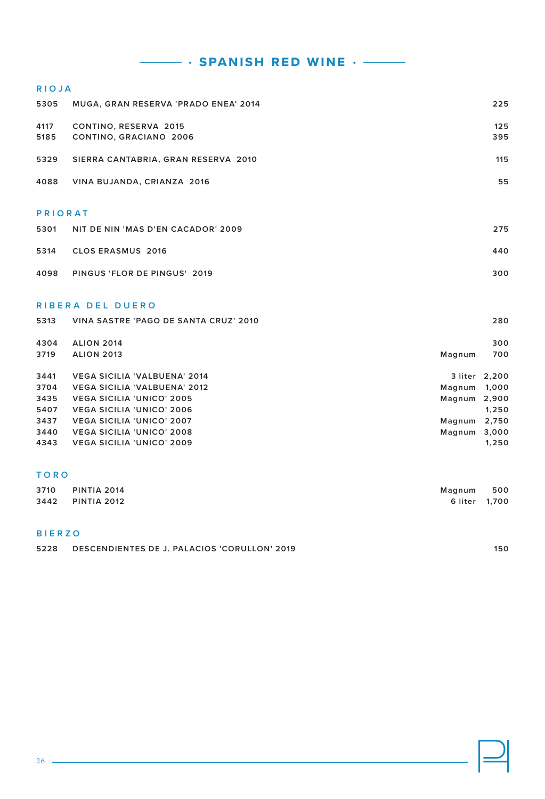**• spanish red wine •** 

# **RIOJA MUGA, GRAN RESERVA 'PRADO ENEA' 2014 225 CONTINO, RESERVA 2015 125 CONTINO, GRACIANO 2006 395 SIERRA CANTABRIA, GRAN RESERVA 2010 115 VINA BUJANDA, CRIANZA 2016 55 PRIORAT NIT DE NIN 'MAS D'EN CACADOR' 2009 275 CLOS ERASMUS 2016 440**

**PINGUS 'FLOR DE PINGUS' 2019 300**

### **R I B E R A D E L D U E R O**

| 5313 | VINA SASTRE 'PAGO DE SANTA CRUZ' 2010 |              | 280           |
|------|---------------------------------------|--------------|---------------|
| 4304 | <b>ALION 2014</b>                     |              | 300           |
| 3719 | <b>ALION 2013</b>                     | Magnum       | 700           |
| 3441 | <b>VEGA SICILIA 'VALBUENA' 2014</b>   |              | 3 liter 2,200 |
| 3704 | <b>VEGA SICILIA 'VALBUENA' 2012</b>   | Magnum       | 1,000         |
| 3435 | <b>VEGA SICILIA 'UNICO' 2005</b>      | Magnum 2,900 |               |
| 5407 | <b>VEGA SICILIA 'UNICO' 2006</b>      |              | 1.250         |
| 3437 | <b>VEGA SICILIA 'UNICO' 2007</b>      | Magnum       | 2,750         |
| 3440 | <b>VEGA SICILIA 'UNICO' 2008</b>      | Magnum 3,000 |               |
| 4343 | <b>VEGA SICILIA 'UNICO' 2009</b>      |              | 1.250         |

### **T O R O**

| 3710 | PINTIA 2014 | Magnum        | 500 |
|------|-------------|---------------|-----|
| 3442 | PINTIA 2012 | 6 liter 1.700 |     |

### **B I E R Z O**

**DESCENDIENTES DE J. PALACIOS 'CORULLON' 2019 150**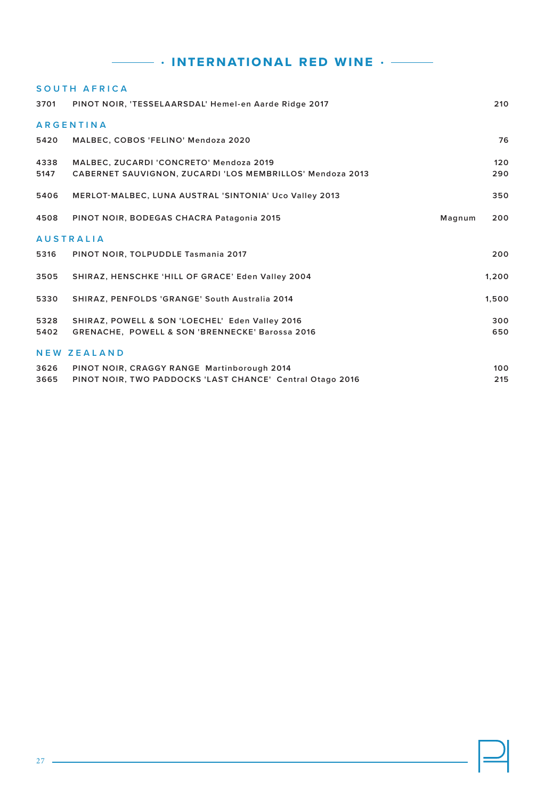# **EXECUTE:** THE FINITE RED WINE  $\cdot$   $\frac{1}{1}$

|      | SOUTH AFRICA                                              |        |       |
|------|-----------------------------------------------------------|--------|-------|
| 3701 | PINOT NOIR, 'TESSELAARSDAL' Hemel-en Aarde Ridge 2017     |        | 210   |
|      | <b>ARGENTINA</b>                                          |        |       |
| 5420 | MALBEC, COBOS 'FELINO' Mendoza 2020                       |        | 76    |
| 4338 | MALBEC, ZUCARDI 'CONCRETO' Mendoza 2019                   |        | 120   |
| 5147 | CABERNET SAUVIGNON, ZUCARDI 'LOS MEMBRILLOS' Mendoza 2013 |        | 290   |
| 5406 | MERLOT-MALBEC, LUNA AUSTRAL 'SINTONIA' Uco Valley 2013    |        | 350   |
| 4508 | PINOT NOIR, BODEGAS CHACRA Patagonia 2015                 | Magnum | 200   |
|      | <b>AUSTRALIA</b>                                          |        |       |
| 5316 | PINOT NOIR, TOLPUDDLE Tasmania 2017                       |        | 200   |
| 3505 | SHIRAZ, HENSCHKE 'HILL OF GRACE' Eden Valley 2004         |        | 1,200 |
| 5330 | SHIRAZ, PENFOLDS 'GRANGE' South Australia 2014            |        | 1.500 |
| 5328 | SHIRAZ, POWELL & SON 'LOECHEL' Eden Valley 2016           |        | 300   |
| 5402 | GRENACHE, POWELL & SON 'BRENNECKE' Barossa 2016           |        | 650   |
|      | <b>NEW ZEALAND</b>                                        |        |       |
| 3626 | PINOT NOIR, CRAGGY RANGE Martinborough 2014               |        | 100   |
| 3665 | PINOT NOIR, TWO PADDOCKS 'LAST CHANCE' Central Otago 2016 |        | 215   |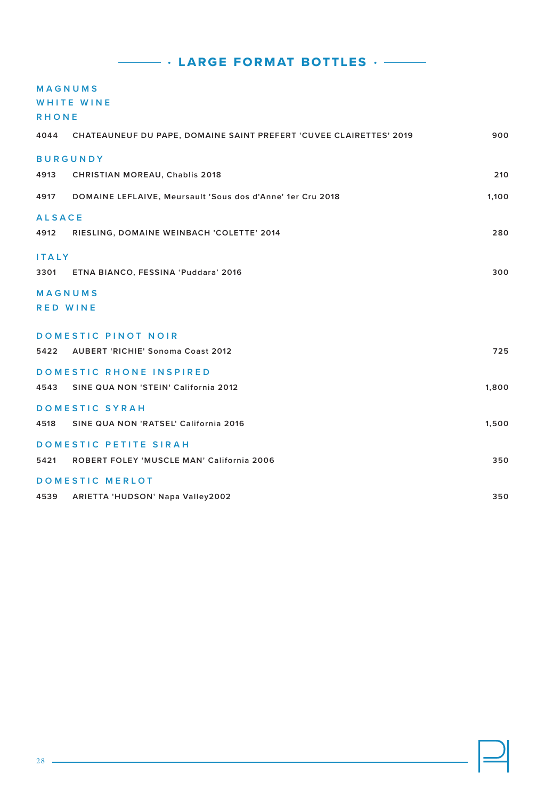### **M A G N U M S**

**WHITE WINE**

|  | RHONE |  |  |
|--|-------|--|--|
|  |       |  |  |

| 4044                              | CHATEAUNEUF DU PAPE, DOMAINE SAINT PREFERT 'CUVEE CLAIRETTES' 2019 | 900   |
|-----------------------------------|--------------------------------------------------------------------|-------|
|                                   | <b>BURGUNDY</b>                                                    |       |
| 4913                              | <b>CHRISTIAN MOREAU, Chablis 2018</b>                              | 210   |
| 4917                              | DOMAINE LEFLAIVE, Meursault 'Sous dos d'Anne' 1er Cru 2018         | 1,100 |
| <b>ALSACE</b>                     |                                                                    |       |
| 4912                              | RIESLING, DOMAINE WEINBACH 'COLETTE' 2014                          | 280   |
| <b>ITALY</b>                      |                                                                    |       |
| 3301                              | ETNA BIANCO, FESSINA 'Puddara' 2016                                | 300   |
| <b>MAGNUMS</b><br><b>RED WINE</b> |                                                                    |       |
|                                   | DOMESTIC PINOT NOIR                                                |       |
| 5422                              | <b>AUBERT 'RICHIE' Sonoma Coast 2012</b>                           | 725   |
|                                   | DOMESTIC RHONE INSPIRED                                            |       |
| 4543                              | SINE QUA NON 'STEIN' California 2012                               | 1,800 |
|                                   | DOMESTIC SYRAH                                                     |       |
| 4518                              | SINE QUA NON 'RATSEL' California 2016                              | 1,500 |
|                                   | DOMESTIC PETITE SIRAH                                              |       |
| 5421                              | ROBERT FOLEY 'MUSCLE MAN' California 2006                          | 350   |
|                                   | <b>DOMESTIC MERLOT</b>                                             |       |
| 4539                              | ARIETTA 'HUDSON' Napa Valley2002                                   | 350   |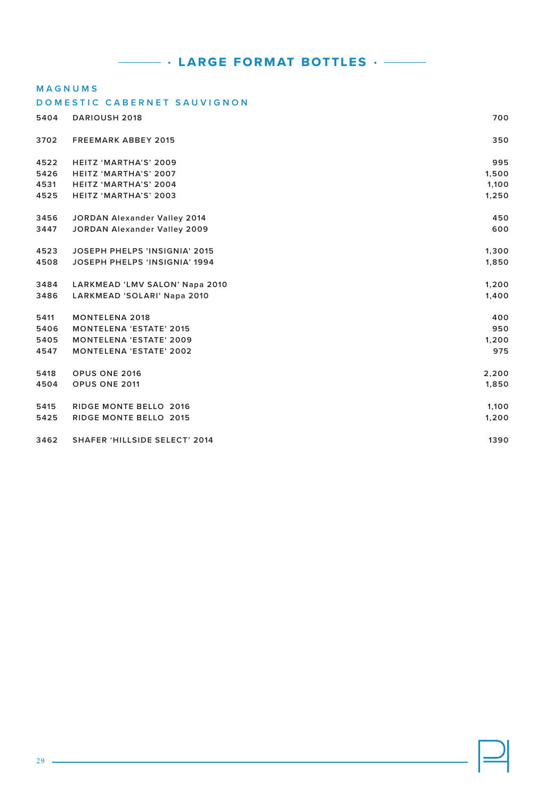### **MAGNUMS**

### **DOMESTIC CABERNET SAUVIGNON**

| 5404 | <b>DARIOUSH 2018</b>                 | 700   |
|------|--------------------------------------|-------|
| 3702 | <b>FREEMARK ABBEY 2015</b>           | 350   |
| 4522 | HEITZ 'MARTHA'S' 2009                | 995   |
| 5426 | HEITZ 'MARTHA'S' 2007                | 1,500 |
| 4531 | HEITZ 'MARTHA'S' 2004                | 1,100 |
| 4525 | HEITZ 'MARTHA'S' 2003                | 1,250 |
| 3456 | JORDAN Alexander Valley 2014         | 450   |
| 3447 | JORDAN Alexander Valley 2009         | 600   |
| 4523 | <b>JOSEPH PHELPS 'INSIGNIA' 2015</b> | 1,300 |
| 4508 | <b>JOSEPH PHELPS 'INSIGNIA' 1994</b> | 1,850 |
| 3484 | LARKMEAD 'LMV SALON' Napa 2010       | 1,200 |
| 3486 | LARKMEAD 'SOLARI' Napa 2010          | 1,400 |
| 5411 | <b>MONTELENA 2018</b>                | 400   |
| 5406 | <b>MONTELENA 'ESTATE' 2015</b>       | 950   |
| 5405 | <b>MONTELENA 'ESTATE' 2009</b>       | 1,200 |
| 4547 | <b>MONTELENA 'ESTATE' 2002</b>       | 975   |
| 5418 | OPUS ONE 2016                        | 2,200 |
| 4504 | OPUS ONE 2011                        | 1,850 |
| 5415 | RIDGE MONTE BELLO 2016               | 1,100 |
| 5425 | RIDGE MONTE BELLO 2015               | 1,200 |
| 3462 | <b>SHAFER 'HILLSIDE SELECT' 2014</b> | 1390  |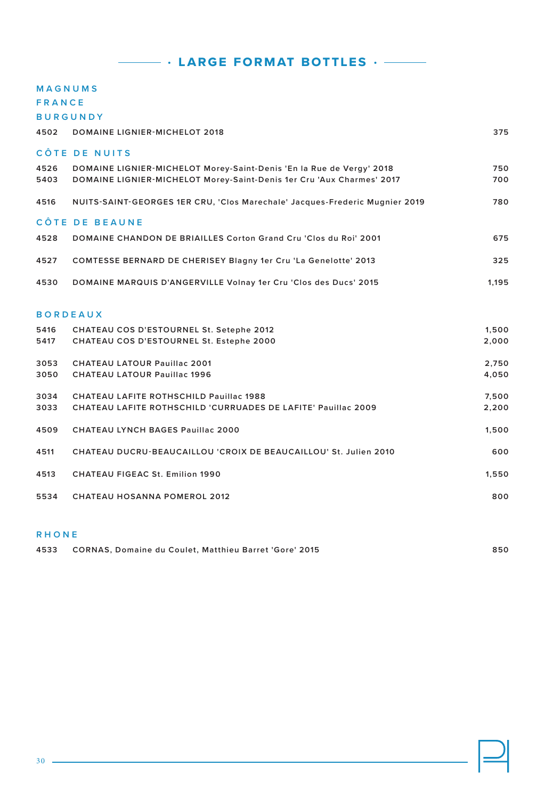### **MAGNUMS**

### **F R A N C E**

**BURGUNDY**

| 4502 | <b>DOMAINE LIGNIER-MICHELOT 2018</b>                                        | 375   |
|------|-----------------------------------------------------------------------------|-------|
|      | CÔTE DE NUITS                                                               |       |
| 4526 | DOMAINE LIGNIER-MICHELOT Morey-Saint-Denis 'En la Rue de Vergy' 2018        | 750   |
| 5403 | DOMAINE LIGNIER-MICHELOT Morey-Saint-Denis 1er Cru 'Aux Charmes' 2017       | 700   |
| 4516 | NUITS-SAINT-GEORGES 1ER CRU, 'Clos Marechale' Jacques-Frederic Mugnier 2019 | 780   |
|      | CÔTE DE BEAUNE                                                              |       |
| 4528 | DOMAINE CHANDON DE BRIAILLES Corton Grand Cru 'Clos du Roi' 2001            | 675   |
| 4527 | COMTESSE BERNARD DE CHERISEY Blagny 1er Cru 'La Genelotte' 2013             | 325   |
| 4530 | DOMAINE MARQUIS D'ANGERVILLE Volnay 1er Cru 'Clos des Ducs' 2015            | 1,195 |
|      | <b>BORDEAUX</b>                                                             |       |
| 5416 | CHATEAU COS D'ESTOURNEL St. Setephe 2012                                    | 1,500 |
| 5417 | CHATEAU COS D'ESTOURNEL St. Estephe 2000                                    | 2,000 |
| 3053 | <b>CHATEAU LATOUR Pauillac 2001</b>                                         | 2,750 |
| 3050 | <b>CHATEAU LATOUR Pauillac 1996</b>                                         | 4,050 |
| 3034 | CHATEAU LAFITE ROTHSCHILD Pauillac 1988                                     | 7,500 |
| 3033 | CHATEAU LAFITE ROTHSCHILD 'CURRUADES DE LAFITE' Pauillac 2009               | 2,200 |
| 4509 | <b>CHATEAU LYNCH BAGES Pauillac 2000</b>                                    | 1,500 |
| 4511 | CHATEAU DUCRU-BEAUCAILLOU 'CROIX DE BEAUCAILLOU' St. Julien 2010            | 600   |
| 4513 | <b>CHATEAU FIGEAC St. Emilion 1990</b>                                      | 1,550 |
| 5534 | <b>CHATEAU HOSANNA POMEROL 2012</b>                                         | 800   |

### **RHONE**

| 4533 CORNAS, Domaine du Coulet, Matthieu Barret 'Gore' 2015 | 850 |
|-------------------------------------------------------------|-----|
|                                                             |     |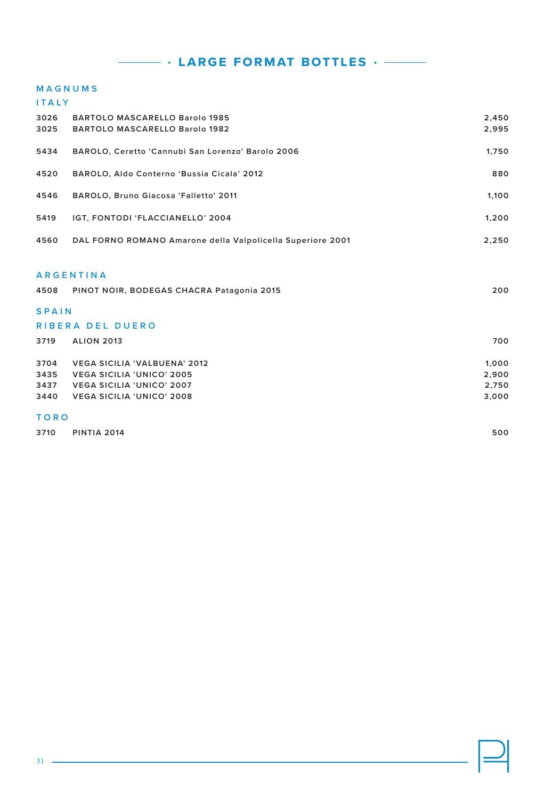### **M A G N U M S**

| <b>ITALY</b> |                                                                         |                |
|--------------|-------------------------------------------------------------------------|----------------|
| 3026<br>3025 | <b>BARTOLO MASCARELLO Barolo 1985</b><br>BARTOLO MASCARELLO Barolo 1982 | 2,450<br>2,995 |
| 5434         | BAROLO, Ceretto 'Cannubi San Lorenzo' Barolo 2006                       | 1,750          |
| 4520         | BAROLO, Aldo Conterno 'Bussia Cicala' 2012                              | 880            |
| 4546         | BAROLO, Bruno Giacosa 'Falletto' 2011                                   | 1,100          |
| 5419         | IGT, FONTODI 'FLACCIANELLO' 2004                                        | 1,200          |
| 4560         | DAL FORNO ROMANO Amarone della Valpolicella Superiore 2001              | 2,250          |
|              |                                                                         |                |
|              | <b>ARGENTINA</b>                                                        |                |
| 4508         | PINOT NOIR, BODEGAS CHACRA Patagonia 2015                               | 200            |
| <b>SPAIN</b> |                                                                         |                |
|              | RIBERA DEL DUERO                                                        |                |
| 3719         | <b>ALION 2013</b>                                                       | 700            |
| 3704         | <b>VEGA SICILIA 'VALBUENA' 2012</b>                                     | 1,000          |
| 3435         | <b>VEGA SICILIA 'UNICO' 2005</b>                                        | 2,900          |
| 3437         | <b>VEGA SICILIA 'UNICO' 2007</b>                                        | 2,750          |
| 3440         | <b>VEGA SICILIA 'UNICO' 2008</b>                                        | 3,000          |
| <b>TORO</b>  |                                                                         |                |
| 3710         | <b>PINTIA 2014</b>                                                      | 500            |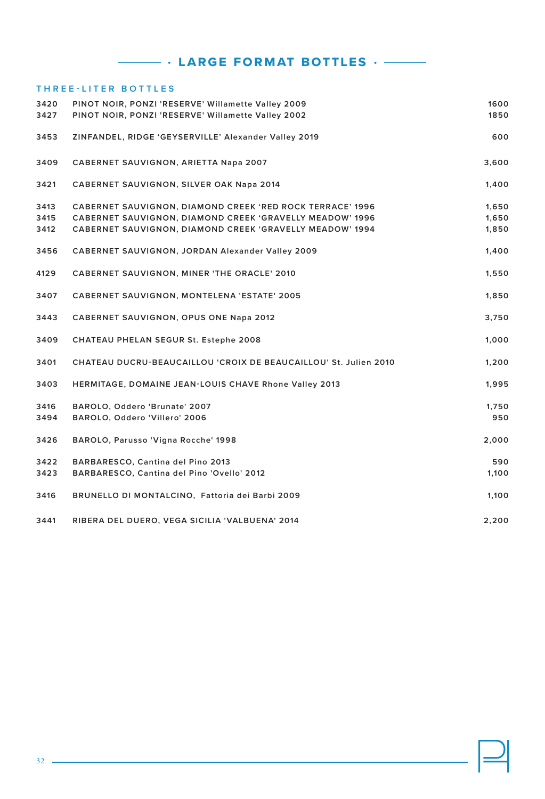# **THREE-LITER BOTTLES PINOT NOIR, PONZI 'RESERVE' Willamette Valley 2009 1600 PINOT NOIR, PONZI 'RESERVE' Willamette Valley 2002 1850 ZINFANDEL, RIDGE 'GEYSERVILLE' Alexander Valley 2019 600 CABERNET SAUVIGNON, ARIETTA Napa 2007 3,600 CABERNET SAUVIGNON, SILVER OAK Napa 2014 1,400 CABERNET SAUVIGNON, DIAMOND CREEK 'RED ROCK TERRACE' 1996 1,650 CABERNET SAUVIGNON, DIAMOND CREEK 'GRAVELLY MEADOW' 1996 1,650 CABERNET SAUVIGNON, DIAMOND CREEK 'GRAVELLY MEADOW' 1994 1,850 CABERNET SAUVIGNON, JORDAN Alexander Valley 2009 1,400 CABERNET SAUVIGNON, MINER 'THE ORACLE' 2010 1,550 CABERNET SAUVIGNON, MONTELENA 'ESTATE' 2005 1,850 CABERNET SAUVIGNON, OPUS ONE Napa 2012 3,750 CHATEAU PHELAN SEGUR St. Estephe 2008 1,000 CHATEAU DUCRU-BEAUCAILLOU 'CROIX DE BEAUCAILLOU' St. Julien 2010 1,200 HERMITAGE, DOMAINE JEAN-LOUIS CHAVE Rhone Valley 2013 1,995 BAROLO, Oddero 'Brunate' 2007 1,750 BAROLO, Oddero 'Villero' 2006 950 BAROLO, Parusso 'Vigna Rocche' 1998 2,000 BARBARESCO, Cantina del Pino 2013 590 BARBARESCO, Cantina del Pino 'Ovello' 2012 1,100 BRUNELLO DI MONTALCINO, Fattoria dei Barbi 2009 1,100 RIBERA DEL DUERO, VEGA SICILIA 'VALBUENA' 2014 2,200**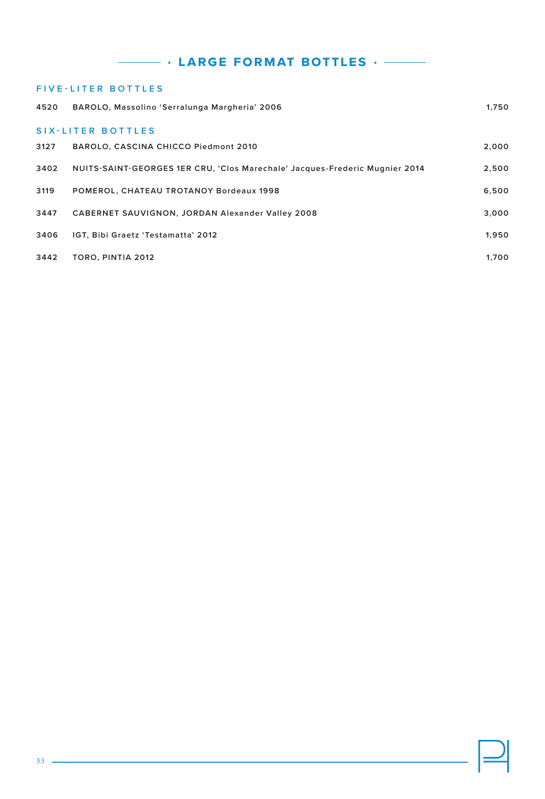|      | <b>FIVE-LITER BOTTLES</b>                                                   |       |
|------|-----------------------------------------------------------------------------|-------|
| 4520 | BAROLO, Massolino 'Serralunga Margheria' 2006                               | 1.750 |
|      | <b>SIX-LITER BOTTLES</b>                                                    |       |
| 3127 | BAROLO, CASCINA CHICCO Piedmont 2010                                        | 2,000 |
| 3402 | NUITS-SAINT-GEORGES 1ER CRU, 'Clos Marechale' Jacques-Frederic Mugnier 2014 | 2,500 |
| 3119 | POMEROL, CHATEAU TROTANOY Bordeaux 1998                                     | 6,500 |
| 3447 | <b>CABERNET SAUVIGNON, JORDAN Alexander Valley 2008</b>                     | 3,000 |
| 3406 | IGT, Bibi Graetz 'Testamatta' 2012                                          | 1,950 |
| 3442 | TORO, PINTIA 2012                                                           | 1.700 |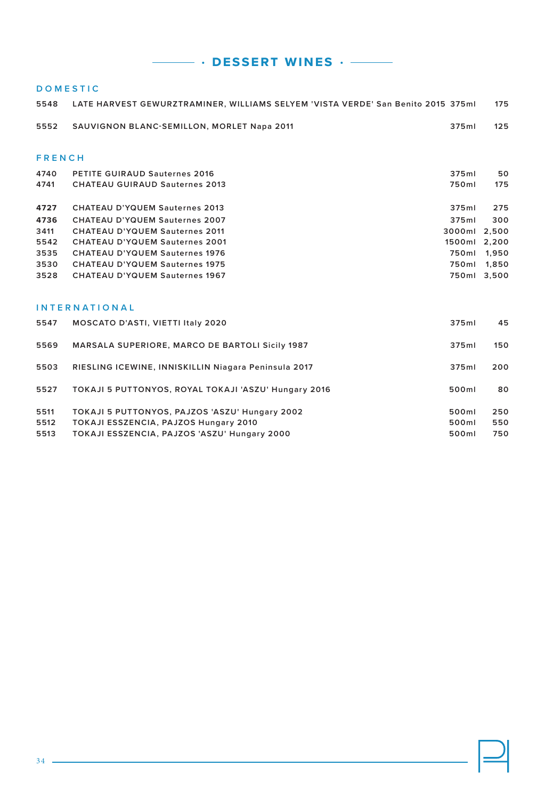**• dessert wines •** 

### **DOMESTIC**

| 5548          | LATE HARVEST GEWURZTRAMINER, WILLIAMS SELYEM 'VISTA VERDE' San Benito 2015 375ml |              | 175   |
|---------------|----------------------------------------------------------------------------------|--------------|-------|
| 5552          | <b>SAUVIGNON BLANC-SEMILLON, MORLET Napa 2011</b>                                | 375ml        | 125   |
|               |                                                                                  |              |       |
| <b>FRENCH</b> |                                                                                  |              |       |
| 4740          | <b>PETITE GUIRAUD Sauternes 2016</b>                                             | 375ml        | 50    |
| 4741          | <b>CHATEAU GUIRAUD Sauternes 2013</b>                                            | 750ml        | 175   |
| 4727          | <b>CHATEAU D'YQUEM Sauternes 2013</b>                                            | 375ml        | 275   |
| 4736          | <b>CHATEAU D'YQUEM Sauternes 2007</b>                                            | 375ml        | 300   |
| 3411          | <b>CHATEAU D'YQUEM Sauternes 2011</b>                                            | 3000ml       | 2.500 |
| 5542          | <b>CHATEAU D'YQUEM Sauternes 2001</b>                                            | 1500ml 2,200 |       |
| 3535          | <b>CHATEAU D'YQUEM Sauternes 1976</b>                                            | 750ml        | 1,950 |
| 3530          | <b>CHATEAU D'YQUEM Sauternes 1975</b>                                            | 750ml        | 1,850 |
| 3528          | <b>CHATEAU D'YQUEM Sauternes 1967</b>                                            | 750ml 3,500  |       |
|               |                                                                                  |              |       |
|               | <b>INTERNATIONAL</b>                                                             |              |       |
| 5547          | <b>MOSCATO D'ASTI, VIETTI Italy 2020</b>                                         | 375ml        | 45    |
| 5569          | <b>MARSALA SUPERIORE, MARCO DE BARTOLI Sicily 1987</b>                           | 375ml        | 150   |
| 5503          | RIESLING ICEWINE, INNISKILLIN Niagara Peninsula 2017                             | 375ml        | 200   |

| 5527 | TOKAJI 5 PUTTONYOS, ROYAL TOKAJI 'ASZU' Hungary 2016 | 500ml | 80  |
|------|------------------------------------------------------|-------|-----|
| 5511 | TOKAJI 5 PUTTONYOS, PAJZOS 'ASZU' Hungary 2002       | 500ml | 250 |
| 5512 | TOKAJI ESSZENCIA, PAJZOS Hungary 2010                | 500ml | 550 |
| 5513 | TOKAJI ESSZENCIA. PAJZOS 'ASZU' Hungary 2000         | 500ml | 750 |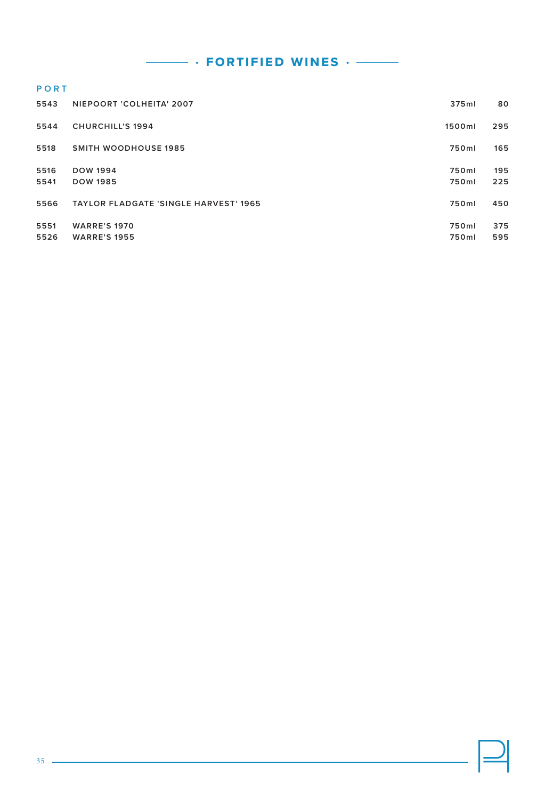$\cdot$  fortified wines  $\cdot$   $-$ 

### **PORT**

| 5543         | NIEPOORT 'COLHEITA' 2007                     | 375ml          | 80         |
|--------------|----------------------------------------------|----------------|------------|
| 5544         | <b>CHURCHILL'S 1994</b>                      | 1500ml         | 295        |
| 5518         | <b>SMITH WOODHOUSE 1985</b>                  | 750ml          | 165        |
| 5516         | <b>DOW 1994</b>                              | 750ml          | 195        |
| 5541         | <b>DOW 1985</b>                              | 750ml          | 225        |
| 5566         | <b>TAYLOR FLADGATE 'SINGLE HARVEST' 1965</b> | 750ml          | 450        |
| 5551<br>5526 | <b>WARRE'S 1970</b><br><b>WARRE'S 1955</b>   | 750ml<br>750ml | 375<br>595 |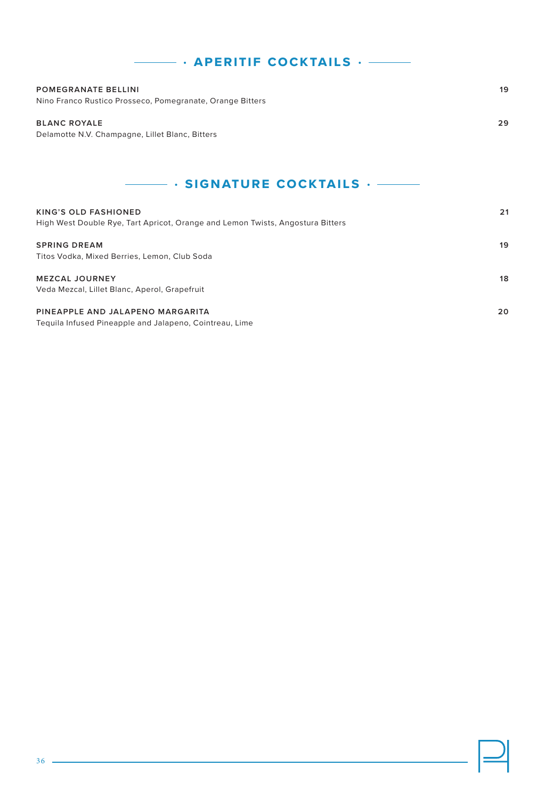| <b>POMEGRANATE BELLINI</b><br>Nino Franco Rustico Prosseco, Pomegranate, Orange Bitters                       | 19 |  |
|---------------------------------------------------------------------------------------------------------------|----|--|
| <b>BLANC ROYALE</b><br>Delamotte N.V. Champagne, Lillet Blanc, Bitters                                        | 29 |  |
| $\cdot$ SIGNATURE COCKTAILS $\cdot$ --                                                                        |    |  |
| <b>KING'S OLD FASHIONED</b><br>High West Double Rye, Tart Apricot, Orange and Lemon Twists, Angostura Bitters | 21 |  |
| <b>SPRING DREAM</b><br>Titos Vodka, Mixed Berries, Lemon, Club Soda                                           | 19 |  |
| <b>MEZCAL JOURNEY</b><br>Veda Mezcal, Lillet Blanc, Aperol, Grapefruit                                        | 18 |  |
| PINEAPPLE AND JALAPENO MARGARITA<br>Tequila Infused Pineapple and Jalapeno, Cointreau, Lime                   | 20 |  |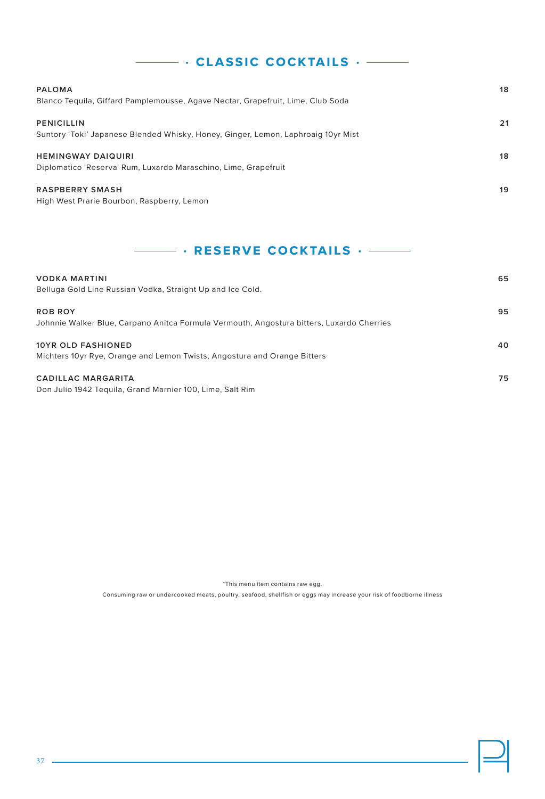# **• classic cocktails •**

| <b>PALOMA</b><br>Blanco Tequila, Giffard Pamplemousse, Agave Nectar, Grapefruit, Lime, Club Soda       | 18 |
|--------------------------------------------------------------------------------------------------------|----|
| <b>PENICILLIN</b><br>Suntory 'Toki' Japanese Blended Whisky, Honey, Ginger, Lemon, Laphroaig 10yr Mist | 21 |
| <b>HEMINGWAY DAIQUIRI</b><br>Diplomatico 'Reserva' Rum, Luxardo Maraschino, Lime, Grapefruit           | 18 |
| <b>RASPBERRY SMASH</b><br>High West Prarie Bourbon, Raspberry, Lemon                                   | 19 |

### **• reserve cocktails •**

| <b>VODKA MARTINI</b><br>Belluga Gold Line Russian Vodka, Straight Up and Ice Cold.                          | 65 |
|-------------------------------------------------------------------------------------------------------------|----|
| <b>ROB ROY</b><br>Johnnie Walker Blue, Carpano Anitca Formula Vermouth, Angostura bitters, Luxardo Cherries | 95 |
| <b>10YR OLD FASHIONED</b><br>Michters 10yr Rye, Orange and Lemon Twists, Angostura and Orange Bitters       | 40 |
| <b>CADILLAC MARGARITA</b><br>Don Julio 1942 Tequila, Grand Marnier 100, Lime, Salt Rim                      | 75 |

\*This menu item contains raw egg.

Consuming raw or undercooked meats, poultry, seafood, shellfish or eggs may increase your risk of foodborne illness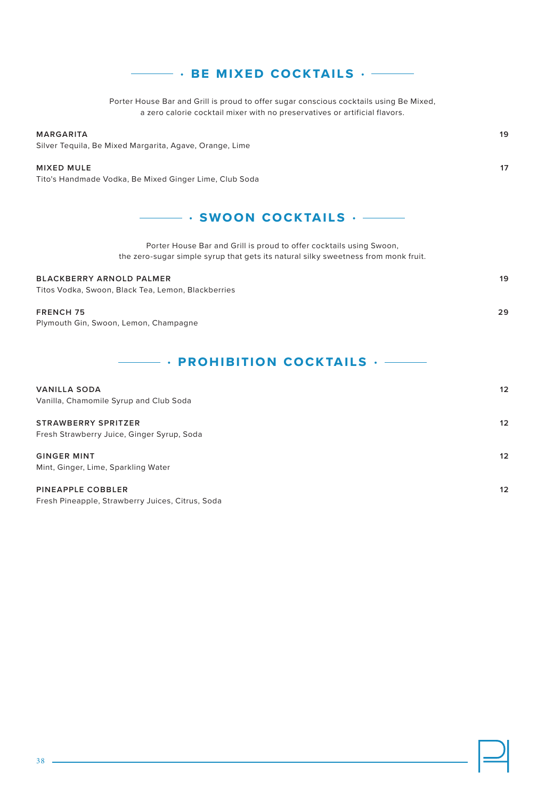### **• be mixed cocktails •**

Porter House Bar and Grill is proud to offer sugar conscious cocktails using Be Mixed, a zero calorie cocktail mixer with no preservatives or artificial flavors.

#### **MARGARITA 19**

Silver Tequila, Be Mixed Margarita, Agave, Orange, Lime

#### **MIXED MULE 17**

Tito's Handmade Vodka, Be Mixed Ginger Lime, Club Soda

### **• swoon cocktails •**

Porter House Bar and Grill is proud to offer cocktails using Swoon, the zero-sugar simple syrup that gets its natural silky sweetness from monk fruit.

#### **BLACKBERRY ARNOLD PALMER 19**

Titos Vodka, Swoon, Black Tea, Lemon, Blackberries

#### **FRENCH 75 29**

Plymouth Gin, Swoon, Lemon, Champagne

### **• prohibition cocktails •**

| <b>VANILLA SODA</b><br>Vanilla, Chamomile Syrup and Club Soda | 12 |
|---------------------------------------------------------------|----|
| <b>STRAWBERRY SPRITZER</b>                                    | 12 |
| Fresh Strawberry Juice, Ginger Syrup, Soda                    |    |
| <b>GINGER MINT</b>                                            | 12 |
| Mint, Ginger, Lime, Sparkling Water                           |    |
| <b>PINEAPPLE COBBLER</b>                                      | 12 |
| Fresh Pineapple, Strawberry Juices, Citrus, Soda              |    |